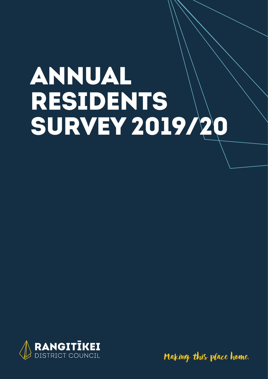# ANNUAL RESIDENTS SURVEY 2019/20



Making this place home.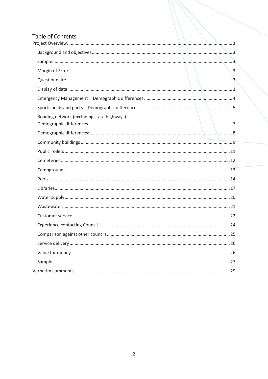#### Table of Contents  $P<sub>1</sub>$

| Roading network (excluding state highways) |  |
|--------------------------------------------|--|
|                                            |  |
|                                            |  |
|                                            |  |
|                                            |  |
|                                            |  |
|                                            |  |
|                                            |  |
|                                            |  |
|                                            |  |
|                                            |  |
|                                            |  |
|                                            |  |
|                                            |  |
|                                            |  |
|                                            |  |
|                                            |  |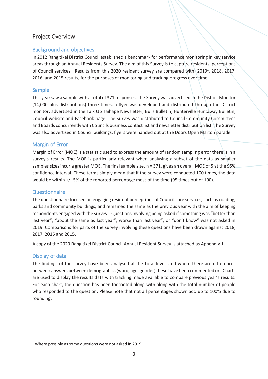#### Project Overview

#### Background and objectives

In 2012 Rangitikei District Council established a benchmark for performance monitoring in key service areas through an Annual Residents Survey. The aim of this Survey is to capture residents' perceptions of Council services. Results from this 2020 resident survey are compared with, 2019<sup>1</sup>, 2018, 2017, 2016, and 2015 results, for the purposes of monitoring and tracking progress over time.

#### Sample

This year saw a sample with a total of 371 responses. The Survey was advertised in the District Monitor (14,000 plus distributions) three times, a flyer was developed and distributed through the District monitor, advertised in the Talk Up Taihape Newsletter, Bulls Bulletin, Hunterville Huntaway Bulletin, Council website and Facebook page. The Survey was distributed to Council Community Committees and Boards concurrently with Councils business contact list and newsletter distribution list. The Survey was also advertised in Council buildings, flyers were handed out at the Doors Open Marton parade.

#### Margin of Error

Margin of Error (MOE) is a statistic used to express the amount of random sampling error there is in a survey's results. The MOE is particularly relevant when analysing a subset of the data as smaller samples sizes incur a greater MOE. The final sample size, n = 371, gives an overall MOE of 5 at the 95% confidence interval. These terms simply mean that if the survey were conducted 100 times, the data would be within +/- 5% of the reported percentage most of the time (95 times out of 100).

#### Questionnaire

The questionnaire focused on engaging resident perceptions of Council core services, such as roading, parks and community buildings, and remained the same as the previous year with the aim of keeping respondents engaged with the survey. Questions involving being asked if something was "better than last year", "about the same as last year", worse than last year", or "don't know" was not asked in 2019. Comparisons for parts of the survey involving these questions have been drawn against 2018, 2017, 2016 and 2015.

A copy of the 2020 Rangitikei District Council Annual Resident Survey is attached as Appendix 1.

#### Display of data

The findings of the survey have been analysed at the total level, and where there are differences between answers between demographics (ward, age, gender) these have been commented on. Charts are used to display the results data with tracking made available to compare previous year's results. For each chart, the question has been footnoted along with along with the total number of people who responded to the question. Please note that not all percentages shown add up to 100% due to rounding.

<sup>&</sup>lt;sup>1</sup> Where possible as some questions were not asked in 2019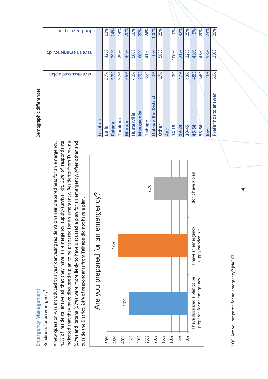# Emergency Management and agement Demographic differences Emergency Management Readiness for an emergency<sup>2</sup> Readiness for an emergency<sup>2</sup>

43% of residents answered that they have an emergency supply/survival kit. 36% of respondants indicated that they have discussed a plan to be prepared for an emergency. Residents from Turakina (57%) and Ratana (57%) were more liekly to have discussed a plan for an emergency. After other and A new question was introduced this year canvasing residents on their preparedness for an emergency. 43% of residents answered that they have an emergency supply/survival kit. 36% of respondants indicated that they have discussed a plan to be prepared for an emergency. Residents from Turakina (57%) and Ratana (57%) were more liekly to have discussed a plan for an emergency. After other and A new question was introduced this year canvasing residents on their preparedness for an emergency. outside the District, 24% of respondants from Taihape did not have a plan. outside the District, 24% of respondants from Taihape did not have a plan.



| Ó<br>ららいつう<br>١<br>١<br>ļ  |
|----------------------------|
| nr an<br>١                 |
| くらいついろ<br>j                |
| ١<br>ć                     |
| ۱<br>C<br>l<br>١<br>Į<br>I |

# Demographic differences

| I don't have a plan     |          |     |        |          |        |             |                  |         |                                          |       | OS <sub>o</sub> |       |           | 9%    |              |     |                         |
|-------------------------|----------|-----|--------|----------|--------|-------------|------------------|---------|------------------------------------------|-------|-----------------|-------|-----------|-------|--------------|-----|-------------------------|
|                         |          | 21% | 14%    | 14%      | 20%    | 10%         | 20%              | 24%     | 100%                                     | 25%   |                 | 32%   | 25%       |       | 20%          | 23% | 20%                     |
| I have an emergency kit |          | 42% | 29%    | 29%      | 44%    | 50%         | 60%              | 41%     | 0%                                       | 58%   | 100%            | 21%   | 32%       | 43%   | 45%          | 53% | 20%                     |
| I have discussed a plan |          | 37% | 57%    | 57%      | 36%    | 40%         | 20%              | 35%     | 0%                                       | 17%   | 0%              | 47%   | 43%       | 48%   | 34%          | 24% | 60%                     |
|                         | Location |     | Ratana | Turakina | Martor | Hunterville | <b>Mangaweka</b> | Taihape | <b>District</b><br>the<br><b>Outside</b> | Other | 14-18           | 19-29 | $30 - 45$ | 46-54 | <b>55-64</b> |     | answer<br>Prefer not to |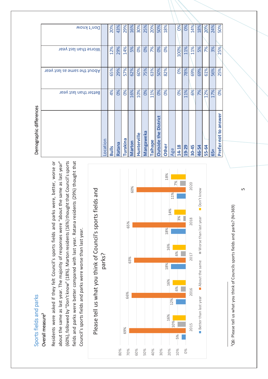# Sports fields and parks **Demographic differences** Sports fields and parks

#### Overall measure<sup>3</sup> Overall measure<sup>3</sup>

Residents were asked if they felt Council's sports fields and parks were, better, worse or about the same as last year. The majority of responses were "about the same as last year" (60%), followed by "Don't know" (18%). Marton residents (16%) thought that Council's sports (60%), followed by "Don't know" (18%). Marton residents(16%) thought that Council's sports fields and parks were better compared with last year. Ratana residents (29%) thought that Residents were asked if they felt Council's sports fields and parks were, better, worse or fields and parks were better compared with last year. Ratana residents (29%) thought that about the same as last year. The majority of responses were "about the same as last year" Council's sports fields and parks were worse than last year. Council's sports fields and parks were worse than last year.

Please tell us what you think of Council's sports fields and

Please tell us what you think of Council's sports fields and



'Q6: Please tell us what you think of Councils sports fields and parks? (N=369) 3Q6: Please tell us what you think of Councils sports fields and parks? (N=369)

| Demographic differences                  |                       |                             |                      |                 |
|------------------------------------------|-----------------------|-----------------------------|----------------------|-----------------|
|                                          | Better than last year | About the same as last year | Worse than last year | Don't know      |
| ocation                                  |                       |                             |                      |                 |
| <b>Bulls</b>                             | 4%                    | 65%                         | 12%                  | 20%             |
| Ratana                                   | 0%                    | 29%                         | 29%                  | 43%             |
| <b>Turakina</b>                          | 0%                    | 57%                         | 14%                  | 29%             |
| Marton                                   | 16%                   | 62%                         | 5%                   | 16%             |
| Hunterville                              | 10%                   | 60%                         | 0%                   | 30%             |
| Mangaweka                                | 0%                    | 75%                         | 0%                   | 25%             |
| Taihape                                  | 11%                   | 63%                         | 7%                   | 20%             |
| <b>District</b><br>the<br><b>Outside</b> | 0%                    | 50%                         | 0%                   | 50%             |
| Other                                    | $\infty$              | 82%                         | $\infty$             | 18%             |
| Age                                      |                       |                             |                      |                 |
| 14-18                                    | 0%                    | 0%                          | 100%                 | OS <sub>o</sub> |
| 19-29                                    | 11%                   | 78%                         | 11%                  | OS <sub>o</sub> |
| $30 - 45$                                | 6%                    | 69%                         | 11%                  | 14%             |
| 46-54                                    | 7%                    | 69%                         | 5%                   | 18%             |
| 55-64                                    | 12%                   | 61%                         | 7%                   | 20%             |
| 65+                                      | 17%                   | 56%                         | 3%                   | 24%             |
| Prefer-not to answer                     | 0%                    | 25%                         | 25%                  | 50%             |

ഗ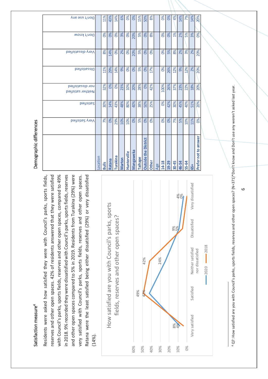# Satisfaction measure $^4$ Satisfaction measure<sup>4</sup>

with Council's parks, sports fields, reserves and other open spaces, compared to 49% in 2018. 9% recorded they were dissatisfied with Council's parks, sports fields, reserves and other open spaces compared to 5% in 2019. Residents from Turakina (29%) were Ratana were the least satisfied being either dissatisfied (29%) or very dissatisfied Residents were asked how satisfied they were with Council's parks, sports fields, reserves and other open spaces. 42% of residents answered that they were satisfied reserves and other open spaces. 42% of residents answered that they were satisfied with Council's parks, sports fields, reserves and other open spaces, compared to 49% in 2018. 9% recorded they were dissatisfied with Council's parks, sports fields, reserves and other open spaces compared to 5% in 2019. Residents from Turakina (29%) were very satisfied with Council's parks, sports fields, reserves and other open spaces. very satisfied with Council's parks, sports fields, reserves and other open spaces. Ratana were the least satisfied being either dissatisfied (29%) or very dissatisfied Residents were asked how satisfied they were with Council's parks, sports fields,  $(14%)$ .



4 Q7: How satisfied are you with Council's parks, sports fields, reserves and other open spaces? (N=371)\*Don't know and Don't use any weren't asked last year Q7: How satisfied are you with Council's parks, sports fields, reserves and other open spaces? (N=371)\*Don't know and Don't use any weren't asked last year.

# Demographic differences

| Don't use any                         |          | 11%          | 43%    | 14%      | 6%            | 0%              | 0%               | 15%     | 50%                         | 8%              |     | 0%              | 0%    | 4%        | 14%   | 7%    | 14% | 20%                  |  |
|---------------------------------------|----------|--------------|--------|----------|---------------|-----------------|------------------|---------|-----------------------------|-----------------|-----|-----------------|-------|-----------|-------|-------|-----|----------------------|--|
| Don't know                            |          | O%           | 0%     | 0%       | 3%            | 0%              | 20%              | 5%      | 0%                          | 8%              |     | 0%              | 0%    | 1%        | 2%    | 5%    | 3%  | 0%                   |  |
| Very dissistied                       |          | 8%           | 14%    | 0%       | 2%            | OS <sub>0</sub> | 20%              | 5%      | OS <sub>o</sub>             | OS <sub>0</sub> |     | OS <sub>o</sub> | 5%    | 8%        | 2%    | 3%    | 2%  | 20%                  |  |
| beit zite da                          |          | 11%          | 29%    | 14%      | 9%            | 0%              | 0%               | 5%      | 0%                          | 17%             |     | 0%              | 26%   | 12%       | 9%    | 12%   | 2%  | 20%                  |  |
| beitsistacib non<br>Neither satisfied |          | 32%          | 0%     | 0%       | 23%           | 10%             | 20%              | 28%     | 0%                          | 42%             |     | 100%            | 26%   | 37%       | 23%   | 22%   | 18% | 20%                  |  |
| beitzited                             |          | 30%          | 14%    | 43%      | 48%           | 80%             | 40%              | 38%     | 50%                         | 25%             |     | O%              | 42%   | 30%       | 45%   | 40%   | 51% | 20%                  |  |
| Very Satisfied                        |          | 7%           | 0%     | 29%      | 10%           | 10%             | 0%               | 5%      | 0%                          | 0%              |     | O%              | 0%    | 7%        | 5%    | 10%   | 11% | 0%                   |  |
|                                       | Location | <b>Bulls</b> | Ratana | Turakina | <b>Marton</b> | Hunterville     | <b>Mangaweka</b> | Taihape | <b>Outside the District</b> | <b>Other</b>    | Age | 14-18           | 19-29 | $30 - 45$ | 46-54 | 55-64 | 65+ | Prefer not to answer |  |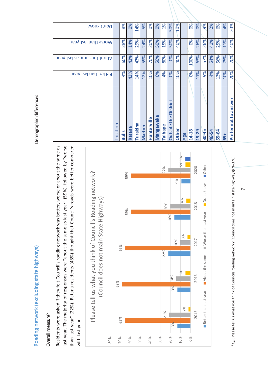# Roading network (excluding state highways) and the manner of the mographic differences Roading network (excluding state highways)

# Demographic differences

#### Overall measure<sup>5</sup> Overall measure<sup>5</sup>

Residents were asked if they felt Council's roading network was better, worse or about the same as Residents were asked if they felt Council's roading network was better, worse or about the same as last year. The majority of responses were "about the same as last year" (59%), followed by "worse last year. The majority of responses were "about the same as last year" (59%), followed by "worse than last year" (22%). Ratana residents (43%) thought that Council's roads were better compared than last year" (22%). Ratana residents (43%) thought that Council's roads were better compared with last year. with last year.



5 Q8: Please tell us what you think of Councils roading network? (Council does not maintain state highways)(N=370) Q8: Please tell us what you think of Councils roading network? (Council does not maintain state highways)(N=370)

| Don't know                 |          | 8%           | OS <sub>o</sub> | 14%      | 5%     | <b>Sol</b>  | 0%               | 1%      | 50%                                      | 10%          |     | O%    | OS <sub>o</sub> | 9%        | 2%    | 6%    | 4%  | 20%                        |
|----------------------------|----------|--------------|-----------------|----------|--------|-------------|------------------|---------|------------------------------------------|--------------|-----|-------|-----------------|-----------|-------|-------|-----|----------------------------|
| Worse than last year       |          | 28%          | 14%             | 29%      | 24%    | 20%         | 50%              | 15%     | 50%                                      | 40%          |     | 0%    | 26%             | 26%       | 41%   | 25%   | 11% | 40%                        |
| hout the same as last year |          | 60%          | 43%             | 43%      | 59%    | 70%         | 50%              | 80%     | $\infty$                                 | 40%          |     | 100%  | 63%             | 57%       | 54%   | 56%   | 75% | 20%                        |
| Better than last year      |          | 4%           | 43%             | 14%      | 12%    | 10%         | 0%               | 4%      | OS <sub>o</sub>                          | 10%          |     | O%    | 11%             | 9%        | 4%    | 13%   | 10% | 20%                        |
|                            | Location | <b>Bulls</b> | Ratana          | Turakina | Marton | Hunterville | <b>Mangaweka</b> | Taihape | <b>District</b><br>the<br><b>Outside</b> | <b>Other</b> | Age | 14-18 | 19-29           | $30 - 45$ | 46-54 | 55-64 | 65+ | answer<br>not to<br>Prefer |

 $\bar{}$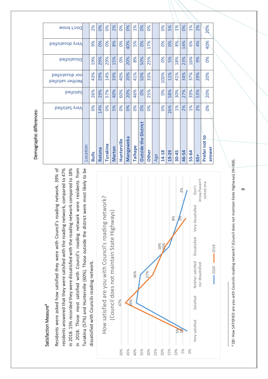## Satisfaction Measure<sup>6</sup> Satisfaction Measure<sup>6</sup>

Residents were asked how satisfied they were with Council's roading network. 39% of Residents were asked how satisfied they were with Council's roading network. 39% of residents answered that they were satisfied with the roading network, compared to 47% residents answered that they were satisfied with the roading network, compared to 47% in 2018. 15% recorded they were dissatisfied with the roading network compared to 18% in 2018. 15% recorded they were dissatisfied with the roading network compared to 18% in 2018. Those most satisfied with Council's roading network were residents from in 2018. Those most satisfied with Council's roading network were residents from Turakina (57%) and Hunterville (60%). Those outside the district were most likely to be Turakina (57%) and Hunterville (60%). Those outside the district were most likely to be dissatisfied with Councils roading network. dissatisfied with Councils roading network.



<sup>6</sup> Q9: How SATISFIED are you with Councils roading network? (Council does not maintain State Highways) (N=368). Q9: How SATISFIED are you with Councils roading network? (Council does not maintain State Highways) (N=368).

# Demographic differences: Demographic differences:

|                                       | Location | <b>Bulls</b> | Ratana | Turakina | Marton | Hunterville   | <b>Mangaweka</b> | Taihape       | the<br><b>Outside</b> | Other         | Age | 14-18          | 19-29 | 30-45 | 46-54 | 55-64 | 65+ | $\overline{\mathbf{5}}$<br>Prefer not<br>answer |
|---------------------------------------|----------|--------------|--------|----------|--------|---------------|------------------|---------------|-----------------------|---------------|-----|----------------|-------|-------|-------|-------|-----|-------------------------------------------------|
|                                       |          |              |        |          |        |               |                  |               | <b>District</b>       |               |     |                |       |       |       |       |     |                                                 |
| Very Satisfied                        |          | 0%           | 14%    | 0%       | 5%     | $\frac{8}{3}$ | $\frac{8}{3}$    | $\frac{8}{3}$ | 0%                    | $\frac{8}{6}$ |     | 0%             | 26%   | 1%    | 2%    | 1%    | 2%  | 0%                                              |
| <b>b</b> əitzite2                     |          | 26%          | 29%    | 57%      | 40%    | 60%           | 20%              | 46%           | 0%                    | 25%           |     | 0%             | 58%   | 30%   | 27%   | 39%   | 53% | 20%                                             |
| hor dissatisfied<br>Neither satisfied |          | 43%          | 29%    | 14%      | 33%    | 40%           | 20%              | 41%           | 50%                   | 33%           |     | 100%           | 11%   | 41%   | 34%   | 37%   | 29% | 20%                                             |
| beitsitessid                          |          | 19%          | 29%    | 29%      | 15%    | 0%            | 20%              | 8%            | 50%                   | 25%           |     | 0%             | 5%    | 18%   | 23%   | 16%   | 9%  | 0%                                              |
| Very dissatisfied                     |          | 9%           | 0%     | 0%       | 8%     | $\frac{8}{6}$ | 40%              | 5%            | $\frac{8}{20}$        | 17%           |     | 0%             | 0%    | 8%    | 14%   | 6%    | 4%  | 40%                                             |
| Don't know                            |          | 2%           | 0%     | 0%       | 2%     | 0%            | 0%               | 1%            | 0%                    | 0%            |     | $\frac{6}{20}$ | 5%    | 1%    | 0%    | 1%    | 2%  | 20%                                             |
|                                       |          |              |        |          |        |               |                  |               |                       |               |     |                |       |       |       |       |     |                                                 |

 $\infty$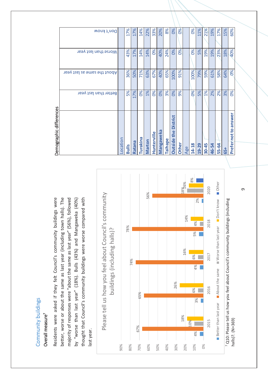#### s<br>bo uildin Overall measure<sup>7</sup> Overall measure**7** nity b u  $\mathsf{E}% _{T}$ Ē o  $\mathsf{\circ}$

Residents were asked if they felt Council's community buildings were better, worse or about the same as last year (including town halls). The better, worse or about the same as last year (including town halls). The majority of responses were "about the same as last year" (56%), followed thought that Council's community buildings were worse compared with thought that Council's community buildings were worse compared with Residents were asked if they felt Council's community buildings were majority of responses were "about the same as last year" (56%), followed by "worse than last year" (18%). Bulls (43%) and Mangaweka (40%) by "worse than last year" (18%). Bulls (43%) and Mangaweka (40%) last year.

Demographic differences ographic differences



|                                          | Better than last year | About the same as last year | Worse than last year | Don't know      |
|------------------------------------------|-----------------------|-----------------------------|----------------------|-----------------|
| ocation                                  |                       |                             |                      |                 |
| <b>Bulls</b>                             | 5%                    | 36%                         | 43%                  | 17%             |
| Ratana                                   | 17%                   | 50%                         | 17%                  | 17%             |
| <b>Turakina</b>                          | OS <sub>o</sub>       | 71%                         | 14%                  | 14%             |
| Marton                                   | 1%                    | 63%                         | 14%                  | 22%             |
| Hunterville                              | $\infty$              | 67%                         | OS <sub>o</sub>      | 33%             |
| <b>Mangaweka</b>                         | OS <sub>o</sub>       | 40%                         | 40%                  | 20%             |
| <b>Taihape</b>                           | 3%                    | 65%                         | 24%                  | 8%              |
| <b>District</b><br>the<br><b>Outside</b> | $\infty$              | 100%                        | 0%                   | OS <sub>o</sub> |
| <b>Other</b>                             | 9%                    | 91%                         | OS <sub>o</sub>      | $\infty$        |
| Age                                      |                       |                             |                      |                 |
| 14-18                                    | 0%                    | 100%                        | O%                   | O%              |
| 19-29                                    | 5%                    | 79%                         | 5%                   | 11%             |
| 30-45                                    | 1%                    | 59%                         | 19%                  | 21%             |
| 46-54                                    | 2%                    | 61%                         | 19%                  | 19%             |
| 55-64                                    | 2%                    | 58%                         | 23%                  | 17%             |
| $\overline{5}$                           | 3%                    | 64%                         | 18%                  | 15%             |
| Prefer not to answer                     | 0%                    | 0%                          | 40%                  | 60%             |

თ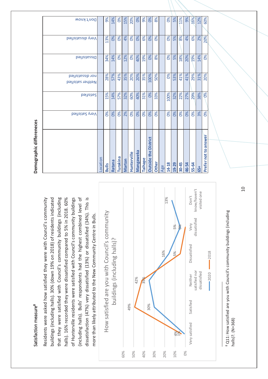### Satisfaction measure<sup>8</sup> Satisfaction measure<sup>8</sup>

Residents were asked how satisfied they were with Council's community buildings (including halls). 30% (down 19% on 2018) of residents indicated buildings (including halls). 30% (down 19% on 2018) of residents indicated that they were satisfied with Council's community buildings (including halls). 16% recorded they were dissatisfied compared to 5% in 2018. 60% halls). 16% recorded they were dissatisfied compared to 5% in 2018. 60% of Hunterville residents were satisfied with Council's community buildings (including halls). Bulls' respondents had the highest combined level of (including halls). Bulls' respondents had the highest combined level of dissatisfaction (47%) very dissatisfied (13%) or dissatisfied (34%). This is dissatisfaction (47%) very dissatisfied (13%) or dissatisfied (34%). This is Residents were asked how satisfied they were with Council's community that they were satisfied with Council's community buildings (including of Hunterville residents were satisfied with Council's community buildings more than likely attributed to the New Community Centre in Bulls. more than likely attributed to the New Community Centre in Bulls.



<sup>8</sup> Q11: How satisfied are you with Council's community buildings (including Q11: How satisfied are you with Council's community buildings (including halls)?. (N=368) halls)?. (N=368)

# Demographic differeneces **Demographic differeneces**

| Don't know                          |          | 9%           | 14%             | 0%       | 15%    | 20%             | $\infty$         | 9%      | $\infty$                    | 8%              |  | $\infty$ | 5%                    | 11%       | 9%    | 16%       |
|-------------------------------------|----------|--------------|-----------------|----------|--------|-----------------|------------------|---------|-----------------------------|-----------------|--|----------|-----------------------|-----------|-------|-----------|
| Very dissatisfied                   |          | 13%          | OS <sub>o</sub> | O%       | 4%     | OS <sub>o</sub> | OS <sub>o</sub>  | 6%      | OS <sub>o</sub>             | OS <sub>o</sub> |  | O%       | 5%                    | 8%        | 4%    | 6%        |
| <b>b</b> əitzitazid                 |          | 34%          | 14%             | 0%       | 12%    | 0%              | 40%              | 19%     | O%                          | 8%              |  | 0%       | 5%                    | 18%       | 20%   | 19%       |
| peiteistisfied<br>Neither satisfied |          | 28%          | 57%             | 43%      | 35%    | 20%             | 20%              | 35%     | 100%                        | 50%             |  | O%       | 53%                   | 41%       | 41%   | 29%       |
| beitzited                           |          | 15%          | 14%             | 57%      | 32%    | 60%             | 40%              | 31%     | O%                          | 33%             |  | 100%     | 32%                   | 22%       | 27%   | 29%       |
| Very Satisfied                      |          | 0%           | 0%              | O%       | 2%     | 0%              | $\frac{8}{20}$   | O%      | 0%                          | $\infty$        |  | O%       | 0%                    | 0%        | 0%    | <b>D%</b> |
|                                     |          |              |                 |          |        |                 |                  |         |                             |                 |  |          |                       |           |       |           |
|                                     |          |              |                 |          |        | Hunterville     | <b>Mangaweka</b> |         | <b>Outside the District</b> |                 |  |          |                       |           |       |           |
|                                     | Location | <b>Bulls</b> | Ratana          | Turakina | Marton |                 |                  | Taihape |                             | <b>Other</b>    |  |          | 14-18<br>19-29<br>Age | $30 - 45$ | 46-54 | 55-64     |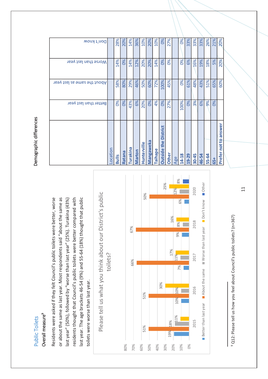#### **Public Toilets** Public Toilets

#### Overall measure<sup>9</sup> Overall measure**9**

Residents were asked if they felt Council's public toilets were better, worse Residents were asked if they felt Council's public toilets were better, worse or about the same as last year. Most respondents said "about the same as or about the same as last year. Most respondents said "about the same as last year" (50%), followed by "worse than last year" (25%). Turakina (43%) residents thought that Council's public toilets were better compared with residents thought that Council's public toilets were better compared with last year. The age brackets 46-54 (9%) and 55-64 (18%) thought that public last year. The age brackets 46-54 (9%) and 55-64 (18%) thought that public last year" (50%), followed by "worse than last year" (25%). Turakina (43%) toilets were worse than last year. toilets were worse than last year.



<sup>9</sup> Q12: Please tell us how you feel about Council's public toilets? (n=367) Q12: Please tell us how you feel about Council's public toilets? (n=367)

# Demographic differences Demographic differences

| Worse than last year<br>About the same as last year<br>Better than last year |          | 14%<br>58%<br>0% | 0%<br>80%<br>0% | 14%<br>29% | 12%<br>46%<br>6% | 20%<br>50%  | 20%<br>60%<br>0% | 14%<br>72%<br>4% | OS <sub>o</sub><br>100%<br>0% | OS <sub>o</sub><br>45% |     | OS <sub>o</sub><br>0% | 6%<br>61%<br>0% | 16%<br>48%<br>3% | 19%<br>43%<br>6% | 18%<br>51%<br>9% | 5%<br>65%<br>$\frac{6}{20}$ | 20%<br>60%           |  |
|------------------------------------------------------------------------------|----------|------------------|-----------------|------------|------------------|-------------|------------------|------------------|-------------------------------|------------------------|-----|-----------------------|-----------------|------------------|------------------|------------------|-----------------------------|----------------------|--|
|                                                                              |          |                  |                 | 43%        |                  | 20%         |                  |                  | <b>District</b>               | 27%                    |     | 100%                  |                 |                  |                  |                  |                             |                      |  |
|                                                                              | Location | <b>Bulls</b>     | Ratana          | Turakina   | <b>Marton</b>    | Hunterville | <b>Mangaweka</b> | Taihape          | the<br><b>Outside</b>         | <b>Other</b>           | Age | 14-18                 | 19-29           | $30 - 45$        | 46-54            | 55-64            | $65+$                       | Prefer not to answer |  |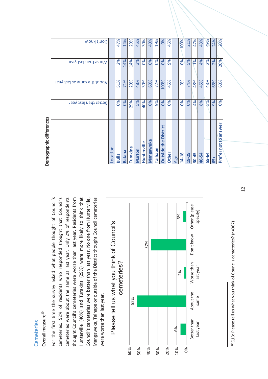#### Cemeteries Cemeteries

#### Overall measure<sup>10</sup> Overall measure**10**

For the first time the survey asked what people thought of Council's For the first time the survey asked what people thought of Council's cemeteries. 52% of residents who responded thought that Council's cemeteries. 52% of residents who responded thought that Council's cemeteries were about the same as last year. Only 2% of respondents thought Council's cemeteries were worse than last year. Residents from Hunterville (40%) and Turakina (29%) were more likely to think that Council's cemeteries were better than last year. No one from Hunterville, Mangaweka, Taihape or outside of the District thought Council cemeteries cemeteries were about the same as last year. Only 2% of respondents thought Council's cemeteries were worse than last year. Residents from Hunterville (40%) and Turakina (29%) were more likely to think that Council's cemeteries were better than last year. No one from Hunterville, Mangaweka, Taihape or outside of the District thought Council cemeteries were worse than last year. were worse than last year.





| Demographic differences                  |                       |                             |                      |                 |
|------------------------------------------|-----------------------|-----------------------------|----------------------|-----------------|
|                                          | Better than last year | About the same as last year | Worse than last year | Don't know      |
| ocation                                  |                       |                             |                      |                 |
| <b>Bulls</b>                             | 0%                    | 51%                         | 2%                   | 47%             |
| Ratana                                   | 0%                    | 71%                         | 14%                  | 14%             |
| <b>Turakina</b>                          | 29%                   | 29%                         | 14%                  | 29%             |
| Marton                                   | 5%                    | 48%                         | 3%                   | 45%             |
| Hunterville                              | 40%                   | 30%                         | 0%                   | 30%             |
| <b>Mangaweka</b>                         | 0%                    | 60%                         | 0%                   | 40%             |
| <b>Taihape</b>                           | 9%                    | 72%                         | O%                   | 19%             |
| <b>District</b><br>the<br><b>Outside</b> | 0%                    | 100%                        | 0%                   | OS <sub>o</sub> |
| Other                                    | 0%                    | 45%                         | 9%                   | 45%             |
| Age                                      |                       |                             |                      |                 |
| $14 - 18$                                | $\%$                  | $\%$                        | $\infty$             | 100%            |
| 19-29                                    | 0%                    | 74%                         | 5%                   | 21%             |
| $30 - 45$                                | 4%                    | 48%                         | 1%                   | 47%             |
| 46-54                                    | 8%                    | 45%                         | 4%                   | 43%             |
| 55-64                                    | 5%                    | 43%                         | 2%                   | 49%             |
| 65+                                      | 9%                    | 66%                         | 2%                   | 24%             |
| Prefer not to answer                     | $\frac{8}{6}$         | 60%                         | 20%                  | 20%             |
|                                          |                       |                             |                      |                 |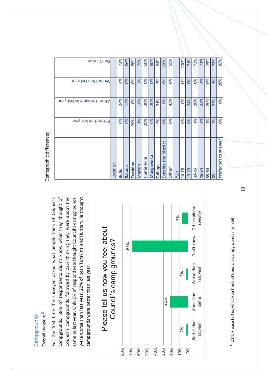#### Overall measure<sup>11</sup> Overall measure**11** Campgrounds **Campgrounds**

For the first time the surveyed asked what people think of Council's For the first time the surveyed asked what people think of Council's campgrounds. 68% of respondents didn't know what they thought of campgrounds. 68% of respondents didn't know what they thought of Council's campgrounds followed by 22% thinking they were about the Council's campgrounds followed by 22% thinking they were about the same as last year. Only 2% of respondents thought Council's campgrounds same as last year. Only 2% of respondents thought Council's campgrounds were worse than last year. 20% of both Turakina and Hunterville thought were worse than last year. 20% of both Turakina and Hunterville thought campgrounds were better than last year. campgrounds were better than last year.





|                                          | Better than last year | About the same as last year | Worse than last year | Don't know |
|------------------------------------------|-----------------------|-----------------------------|----------------------|------------|
| ocation                                  |                       |                             |                      |            |
| <b>Bulls</b>                             | O%                    | 24%                         | 4%                   | 72%        |
| Ratana                                   | 0%                    | 14%                         | OS <sub>o</sub>      | 86%        |
| <b>Guixleun</b>                          | 20%                   | 0%                          | 0%                   | 80%        |
| Marton                                   | 1%                    | 18%                         | 2%                   | 79%        |
| Hunterville                              | 20%                   | 30%                         | OS <sub>o</sub>      | 50%        |
| Mangaweka                                | 0%                    | 20%                         | 0%                   | 80%        |
| Taihape                                  | 3%                    | 31%                         | 3%                   | 64%        |
| <b>District</b><br>the<br><b>Outside</b> | 0%                    | OS <sub>o</sub>             | OS <sub>o</sub>      | 100%       |
| <b>Other</b>                             | $\infty$              | 45%                         | $\infty$             | 55%        |
| Age                                      |                       |                             |                      |            |
| 14-18                                    | 0%                    | OS <sub>o</sub>             | $\infty$             | 100%       |
| 19-29                                    | 0%                    | 24%                         | 6%                   | 71%        |
| $30 - 45$                                | 1%                    | 26%                         | O%                   | 72%        |
| 46-54                                    | 2%                    | 23%                         | 4%                   | 71%        |
| 55-64                                    | 1%                    | 20%                         | 0%                   | 79%        |
| $\overline{5}$                           | 3%                    | 23%                         | 3%                   | 72%        |
| Prefer not to answer                     | 0%                    | 0%                          | 20%                  | 80%        |

Demographic differences Demographic differences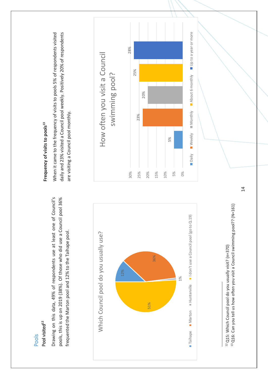Pool visited<sup>12</sup> Pool visited**12** Pools

Drawing on this data, 49% of respondents use at least one of Council's pools, this is up on 2019 (38%). Of those who did use a Council pool 36% pools, this is up on 2019 (38%). Of those who did use a Council pool 36% Drawing on this data, 49% of respondents use at least one of Council's frequented the Marton pool and 12% to the Taihape pool. frequented the Marton pool and 12% to the Taihape pool.



<sup>12</sup> Q15: Which Council pool do you usually visit? (n=370) 12 Q15: Which Council pool do you usually visit? (n=370)

<sup>13</sup> Q16: Can you tell us how often you visit a Council swimming pool?? (N=161) 13 Q16: Can you tell us how often you visit a Council swimming pool?? (N=161)

# Frequency of visits to pools<sup>13</sup> **Frequency of visits to pools13**

When it came to the frequency of visits to pools 5% of respondents visited When it came to the frequency of visits to pools 5% of respondents visited daily and 23% visited a Council pool weekly. Positively 20% of respondents daily and 23% visited a Council pool weekly. Positively 20% of respondents are visiting a Council pool monthly. are visiting a Council pool monthly.

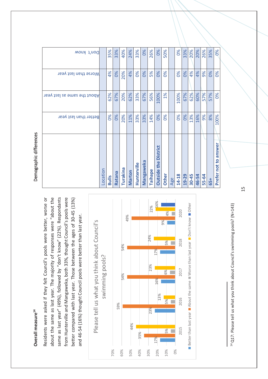### Overall measure<sup>14</sup> **Overall measure14**

Residents were asked if they felt Council's pools were better, worse or about the same as last year. The majority of responses were "about the same as last year" (49%), followed by "don't know" (22%). Respondants from Hunterville and Mangaweka, both 33%, thought Council's pools were from Hunterville and Mangaweka, both 33%, thought Council's pools were better compared with last year. Those between the ages of 30-45 (13%) Residents were asked if they felt Council's pools were better, worse or about the same as last year. The majority of responses were "about the better compared with last year. Those between the ages of 30-45 (13%) same as last year" (49%), followed by "don't know" (22%). Respondants and 46-54 (16%) thought Council pools were better than last year. and 46-54 (16%) thought Council pools were better than last year.



<sup>14</sup> Q17: Please tell us what you think about Council's swimming pools? (N=143) 14 Q17: Please tell us what you think about Council's swimming pools? (N=143)

# Demographic differences Demographic differences

| Worse than last year<br>About the same as last year<br>Better than last year |                | 4%<br>62%<br>0% | 0%<br>67%<br>0% | 20%<br>20%<br>20% | 4%<br>62%<br>11% | 0%<br>33%<br>33% | 0%<br>67%<br>33% | 5%<br>56%<br>14% | 0%<br>100%<br>0%                         | 0%<br>$1\%$<br>0% |     | 0%<br>100%<br>0% | 0%<br>67%<br>0% | 4%<br>62%<br>13% | 4%<br>60%<br>16% | 9%<br>57%<br>9% | 0%<br>57%<br>8% | 0%<br>0%<br>100%     |
|------------------------------------------------------------------------------|----------------|-----------------|-----------------|-------------------|------------------|------------------|------------------|------------------|------------------------------------------|-------------------|-----|------------------|-----------------|------------------|------------------|-----------------|-----------------|----------------------|
|                                                                              | <b>ocation</b> | <b>Bulls</b>    | Ratana          | Turakina          | Marton           | Hunterville      | <b>Mangaweka</b> | Taihape          | <b>District</b><br>the<br><b>Outside</b> | Other             | Age | 14-18            | 19-29           | 30-45            | 46-54            | 55-64           | 65+             | Prefer not to answer |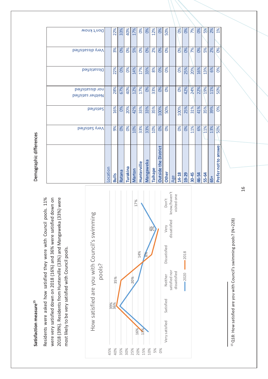# Satisfaction measure<sup>15</sup> **Satisfaction measure15**

Residents were asked how satisfied they were with Council pools. 11% were very satisfied down on 2018 (16%) and 36% were satisfied down on were very satisfied down on 2018 (16%) and 36% were satisfied down on 2018 (39%). Residents from Hunterville (33%) and Mangaweka (33%) were 2018 (39%). Residents from Hunterville (33%) and Mangaweka (33%) were Residents were asked how satisfied they were with Council pools. 11% most likely to be very satisfied with Council pools. most likely to be very satisfied with Council pools.



<sup>15</sup> Q18: How satisfied are you with Council's swimming pools? (N=228) 15 Q18: How satisfied are you with Council's swimming pools? (N=228)

# Demographic differences Demographic differences

| Don't know                             |          | 22%<br>3%    | 33%<br>OS <sub>o</sub> | 40%<br>$\infty$ | 17%<br>5%     | $\infty$<br>$\infty$ | OS <sub>o</sub><br>OS <sub>o</sub> | 12%<br>2% | OS <sub>o</sub><br>OS <sub>o</sub>    | 50%<br>$\infty$ |     | OS <sub>o</sub><br>$\infty$ | OS <sub>o</sub><br>OS <sub>o</sub> | 7%<br>7%  | $\infty$<br>OS <sub>o</sub> | 5%<br>5% | 2%<br>2% | $1\%$<br>$\infty$   |
|----------------------------------------|----------|--------------|------------------------|-----------------|---------------|----------------------|------------------------------------|-----------|---------------------------------------|-----------------|-----|-----------------------------|------------------------------------|-----------|-----------------------------|----------|----------|---------------------|
| Very dissatisfied                      |          |              |                        |                 |               |                      |                                    |           |                                       |                 |     |                             |                                    |           |                             |          |          |                     |
| beitsistied                            |          | 22%          | OS <sub>o</sub>        | O%              | 14%           | 17%                  | 33%                                | 8%        | $\infty$                              | O%              |     | O%                          | 25%                                | 20%       | 16%                         | 13%      | 6%       | $\infty$            |
| beit aissatisfied<br>Neither satisfied |          | 28%          | 67%                    | 40%             | 12%           | 17%                  | OS <sub>o</sub>                    | 33%       | $\infty$                              | O%              |     | O%                          | 42%                                | 24%       | 22%                         | 19%      | 11%      | 50%                 |
| <b>b</b> eitsited                      |          | 16%          | 0%                     | 20%             | 42%           | 33%                  | 33%                                | 35%       | 100%                                  | 50%             |     | 100%                        | 25%                                | 31%       | 41%                         | 35%      | 39%      | 0%                  |
| <b>Very Satisfied</b>                  |          | 9%           | 0%                     | O%              | 10%           | 33%                  | 33%                                | 10%       | 0%                                    | <b>Sol</b>      |     | 0%                          | 0%                                 | 11%       | 6%                          | 11%      | 13%      | 50%                 |
|                                        | Location | <b>Bulls</b> | Ratana                 | Turakina        | <b>Marton</b> | Hunterville          | <b>Mangaweka</b>                   | Taihape   | <b>District</b><br><b>Outside the</b> | Other           | Age | 14-18                       | 19-29                              | $30 - 45$ | 46-54                       | 55-64    | 65+      | Prefer not to answe |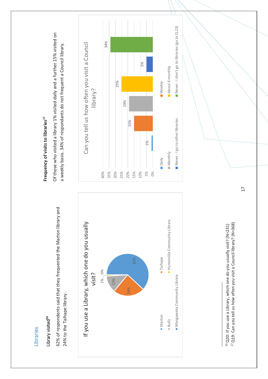Libraries Libraries

#### Library visited<sup>16</sup> Library visited<sup>16</sup>

62% of respondents said that they frequented the Marton library and 62% of respondents said that they frequented the Marton library and 24% to the Taihape library. 24% to the Taihape library.



# Frequency of visits to libraries<sup>17</sup> **Frequency of visits to libraries17**

Of those who visited a library 1% visited daily and a further 15% visited on Of those who visited a library 1% visited daily and a further 15% visited on a weekly basis. 34% of respondants do not frequent a Council library. a weekly basis. 34% of respondants do not frequent a Council library.



<sup>&</sup>lt;sup>16</sup> Q20: If you use a Library, which one do you usually visit? (N=231) 16 Q20: If you use a Library, which one do you usually visit? (N=231)

<sup>17</sup> Q19: Can you tell us how often you visit a Council library? (N=368) <sup>17</sup> Q19: Can you tell us how often you visit a Council library? (N=368)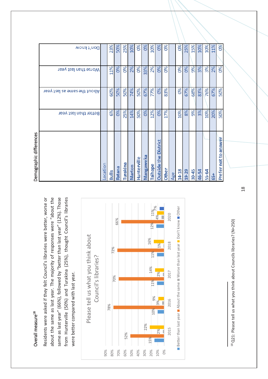#### Overall measure<sup>18</sup> Overall measure18

Residents were asked if they felt Council's libraries were better, worse or about the same as last year. The majority of responses were "about the about the same as last year. The majority of responses were "about the same as last year" (66%), followed by "better than last year" (12%). Those same as last year" (66%), followed by "better than last year" (12%). Those from Hunterville (50%) and Turakina (25%), thought Council's libraries from Hunterville (50%) and Turakina (25%), thought Council's libraries Residents were asked if they felt Council's libraries were better, worse or were better compared with last year. were better compared with last year.



<sup>18</sup> Q21: Please tell us what you think about Councils libraries? (N=250) 18 Q21: Please tell us what you think about Councils libraries? (N=250)

| Demographic differences           |                       |                             |                      |            |
|-----------------------------------|-----------------------|-----------------------------|----------------------|------------|
|                                   | Better than last year | About the same as last year | Worse than last year | Don't know |
| ocation                           |                       |                             |                      |            |
| <b>Bulls</b>                      | 6%                    | 60%                         | 11%                  | 23%        |
| Ratana                            | $\frac{6}{20}$        | 50%                         | $\frac{6}{20}$       | 50%        |
| <b>Turakina</b>                   | 25%                   | 50%                         | 0%                   | 25%        |
| <b>Marton</b>                     | 14%                   | 74%                         | 2%                   | 10%        |
| Hunterville                       | 50%                   | 50%                         | O%                   | 8          |
| <b>Mangaweka</b>                  | 0%                    | 67%                         | 33%                  | 0%         |
| aihape                            | 12%                   | 77%                         | 2%                   | 10%        |
| District<br>the<br><b>Dutside</b> | 0%                    | 0%                          | 0%                   | 0%         |
| <b>Other</b>                      | 17%                   | 83%                         | 0%                   | 0%         |
| Age                               |                       |                             |                      |            |
| $14 - 18$                         | 10%                   | 8%                          | 0%                   | 0%         |
| $19 - 29$                         | 8%                    | 67%                         | 0%                   | 25%        |
| $30 - 45$                         | 9%                    | 68%                         | 9%                   | 15%        |
| 46-54                             | 3%                    | 83%                         | 3%                   | 10%        |
| 55-64                             | 10%                   | 76%                         | 3%                   | 10%        |
| $65+$                             | 20%                   | 67%                         | 2%                   | 11%        |
| Prefer not to answer              | 50%                   | 50%                         | 0%                   | 0%         |
|                                   |                       |                             |                      |            |

ana mana aranhir diffa م<br>م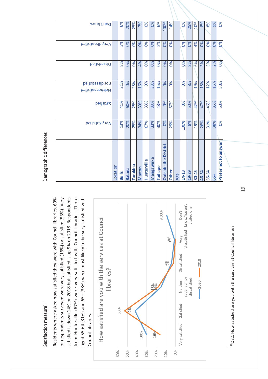## Satisfaction measure<sup>19</sup> Satisfaction measure<sup>19</sup>

Residents where asked how satisfied they were with Council libraries. 69% of respondents surveyed were very satisfied (16%) or satisfied (53%). Very satisfied is down 14% on 2018 but satisfied is up 9% on 2018. Respondents from Hunterville (67%) were very satisfied with Council libraries. Those from Hunterville (67%) were very satisfied with Council libraries. Those aged 55-64 (31%) and 65+ (38%) were most likely to be very satisfied with Residents where asked how satisfied they were with Council libraries. 69% of respondents surveyed were very satisfied (16%) or satisfied (53%). Very satisfied is down 14% on 2018 but satisfied is up 9% on 2018. Respondents aged 55-64 (31%) and 65+ (38%) were most likely to be very satisfied with Council libraries. Council libraries.



<sup>19</sup>Q22: How satisfied are you with the services at Council libraries? 19Q22: How satisfied are you with the services at Council libraries?

# Demographic differences Demographic differences

|                             | Very Satisfied | <b>beitisfied</b> | beitzifiezeib 10n<br>Neither satisfied | Dissatisfied | Very dissatisfied | Don't know |
|-----------------------------|----------------|-------------------|----------------------------------------|--------------|-------------------|------------|
| ocation                     |                |                   |                                        |              |                   |            |
| <b>Bulls</b>                | 13%            | 41%               | 21%                                    | 8%           | 3%                | 6%         |
| Ratana                      | 20%            | 60%               | 0%                                     | 0%           | OS <sub>o</sub>   | 20%        |
| <b>Turakina</b>             | 25%            | 25%               | 25%                                    | $\%$         | $\infty$          | 25%        |
| <b>Marton</b>               | 34%            | 39%               | 16%                                    | 4%           | OS <sub>o</sub>   | 7%         |
| Hunterville                 | 67%            | 33%               | O%                                     | O%           | $\infty$          | O%         |
| <b>Mangaweka</b>            | 33%            | 33%               | 33%                                    | 0%           | OS <sub>o</sub>   | 0%         |
| <b>Taihape</b>              | 30%            | 48%               | 15%                                    | 0%           | 2%                | 6%         |
| <b>Dutside the District</b> | 0%             | 0%                | 0%                                     | 0%           | 0%                | 100%       |
| Other                       | 29%            | 57%               | OS <sub>o</sub>                        | 0%           | $\infty$          | 14%        |
| Age                         |                |                   |                                        |              |                   |            |
| 14-18                       | 100%           | 0%                | 0%                                     | 0%           | 0%                | 0%         |
| 19-29                       | 8%             | 50%               | 8%                                     | 8%           | 0%                | 25%        |
| $30 - 45$                   | 19%            | 42%               | 19%                                    | 6%           | 4%                | 10%        |
| 46-54                       | 26%            | 47%               | 18%                                    | 3%           | 0%                | 8%         |
| 55-64                       | 31%            | 46%               | 12%                                    | 3%           | O%                | 8%         |
| 65+                         | 38%            | 35%               | 15%                                    | 2%           | 0%                | 9%         |
| Prefer not to answer        | 0%             | 50%               | 50%                                    | 0%           | 0%                | $\infty$   |
|                             |                |                   |                                        |              |                   |            |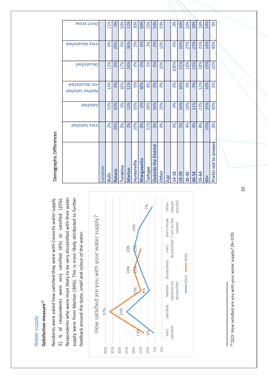#### Water supply Water supply

# Satisfaction measure<sup>20</sup> **Satisfaction measure**20

Residents were asked how satisfied they were with Councils water supply. 31 % of respondents were very satisfied (6%) or satisfied (25%). Respondents who were most likely to be very dissatisfied with their water supply were from Marton (36%). This is most likely attributed to further Residents were asked how satisfied they were with Councils water supply. Respondents who were most likely to be very dissatisfied with their water supply were from Marton (36%). This is most likely attributed to further satisfied (25%). feedback around the taste, smell and colour of the water. 31 % of respondents were very satisfied (6%) or feedback around the taste, smell and colour of the water.



Age

14-18 19-29  $30-45$ 46-54 55-64 65+

**14-18** 0% 0% 0% 100% 0% 0% **19-29** 5% 26% 16% 21% 16% 16% **30-45** 4% 24% 9% 16% 27% 20% **46-54** 4% 21% 9% 15% 23% 38% **55-64** 8% 23% 11% 18% 25% 16% **65+** 10% 35% 10% 15% 16% 14% **Prefer not to answer** 0% 40% 0% 20% 40% 20% 0% 0%

0% 26% 24%

0%

5% 4%

20%

16% 27% 23% 25% 16% 40%

21% 16% 38% 16% 14%

> 18% 15%

11% 10% 0%

35%

10% 0%

40%

Prefer not to answer

15%

9%

21% 23%

4% 8% N<sub>o</sub>

20%

0% 16%

 $\overline{0\%}$ 

100%

0% 16% 9%

50%

<sup>20</sup> Q23: How satisfied are you with your water supply? (N=370)  $^{20}$  Q23: How satisfied are you with your water supply? (N=370)

|                                       | Location | <b>Bulls</b> | <b>Ratana</b> | Turakina              | Marton | Hunterville   | <b>Mangaweka</b> | <b>Taihape</b> | <b>Outside the District</b> | <b>Other</b> |
|---------------------------------------|----------|--------------|---------------|-----------------------|--------|---------------|------------------|----------------|-----------------------------|--------------|
| <b>b</b> eitristied                   |          | 2%           | 29%           | O%                    | 2%     | 20%           | 0%               | 21%            | 0%                          | 0%           |
| beitzitied                            |          | 53%          | 43%           | $\frac{8}{6}$         | 15%    | 50%           | 0%               | 39%            | 50%                         | 20%          |
| nor dissatisfied<br>Neither satisfied |          | 13%          | 0%            | 33%                   | 11%    | $\frac{8}{3}$ | 40%              | 8%             | 0%                          | 0%           |
| beit zitied                           |          | 13%          | 0%            | 17%                   | 24%    | $\frac{8}{3}$ | 0%               | 5%             | 0%                          | 20%          |
| Very dissatisfied                     |          | 9%           | 29%           | <b>D</b> <sup>o</sup> | 36%    | 0%            | 0%               | 3%             | 0%                          | 10%          |
| Don't know                            |          | 11%          | $\frac{8}{3}$ | 50%                   | 12%    | 30%           | 60%              | 25%            | 50%                         | 50%          |

11%

50% 12% 30% 60% 25%

Demographic Differences: Demographic Differences: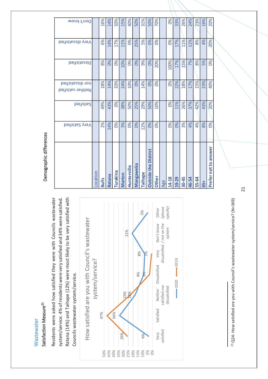#### Wastewater **Wastewater**

## Satisfaction Measure<sup>21</sup> Satisfaction Measure**21**

Residents were asked how satisfied they were with Councils wastewater system/service. 4% of residents were very satisfied and 34% were satisfied. Ratana (14%) and Taihape (12%) were most likely to be very satisfied with Residents were asked how satisfied they were with Councils wastewater system/service. 4% of residents were very satisfied and 34% were satisfied. Ratana (14%) and Taihape (12%) were most likely to be very satisfied with Councils wastewater system/service. Councils wastewater system/service.



<sup>21</sup> Q24: How satisfied are you with Council's wastewater system/service? (N=369) 21 Q24: How satisfied are you with Council's wastewater system/service? (N=369)

# Demographic differences Demographic differences

|                             | <b>b</b> eitaified yneV | <b>beitzitied</b> | beit dissatisfied<br>Neither satisfied | beit zitied     | Very dissatisfied | Don't know |
|-----------------------------|-------------------------|-------------------|----------------------------------------|-----------------|-------------------|------------|
| Location                    |                         |                   |                                        |                 |                   |            |
| <b>Bulls</b>                | 2%                      | 49%               | 18%                                    | 8%              | 6%                | 16%        |
| Ratana                      | 14%                     | 43%               | 14%                                    | 0%              | 14%               | 14%        |
| Turakina                    | O%                      | O%                | 33%                                    | 0%              | 17%               | 50%        |
| Marton                      | 3%                      | 38%               | 24%                                    | 10%             | 11%               | 15%        |
| Hunterville                 | $\frac{8}{6}$           | 50%               | 10%                                    | O%              | O%                | 40%        |
| <b>Mangaweka</b>            | 0%                      | 25%               | 0%                                     | $\frac{8}{3}$   | 25%               | 50%        |
| <b>Taihape</b>              | 12%                     | 29%               | 14%                                    | 9%              | 5%                | 31%        |
| <b>Outside the District</b> | 0%                      | 50%               | 0%                                     | $\frac{8}{6}$   | $\frac{8}{3}$     | 50%        |
| Other                       | $\infty$                | 10%               | $\infty$                               | 20%             | 8 <sup>o</sup>    | 70%        |
| Age                         |                         |                   |                                        |                 |                   |            |
| $14 - 18$                   | $\infty$                | 0%                | 0%                                     | 100%            | O%                | $\infty$   |
| 19-29                       | 0%                      | 11%               | 22%                                    | 17%             | 17%               | 33%        |
| $30 - 45$                   | 3%                      | 26%               | 18%                                    | 15%             | 11%               | 26%        |
| 46-54                       | 4%                      | 37%               | 17%                                    | 7%              | 11%               | 24%        |
| 55-64                       | 4%                      | 42%               | 15%                                    | 8%              | 8%                | 23%        |
| 65+                         | 8%                      | 43%               | 23%                                    | 5%              | 4%                | 16%        |
| Prefer not to answer        | 0%                      | 20%               | 40%                                    | OS <sub>0</sub> | 20%               | 20%        |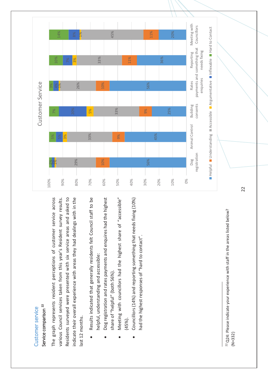## Customer service Customer service

## Service comparison<sup>22</sup> Service comparison **22**

The graph represents resident perceptions of customer service across various Council services taken from this year's Resident survey results. Residents surveyed were presented with six service areas and asked to indicate their overall experience with areas they had dealings with in the The graph represents resident perceptions of customer service across various Council services taken from this year's Resident survey results. indicate their overall experience with areas they had dealings with in the Residents surveyed were presented with six service areas and asked to last 12 months. last 12 months.

- Results indicated that generally residents felt Council staff to be Results indicated that generally residents felt Council staff to be helpful, understanding and accessible: helpful, understanding and accessible:  $\bullet$
- Dog registration and rates payments and enquires had the highest Dog registration and rates payments and enquires had the highest share of "helpful" (both 56%). share of "helpful" (both 56%).  $\bullet$
- Meeting with councillors had the highest share of "accessible" Meeting with councillors had the highest share of "accessible" (45%).  $\bullet$
- Councillors (14%) and reporting something that needs fixing (10%) Councillors (14%) and reporting something that needs fixing (10%) had the highest responses of "hard to contact". had the highest responses of "hard to contact".  $\bullet$



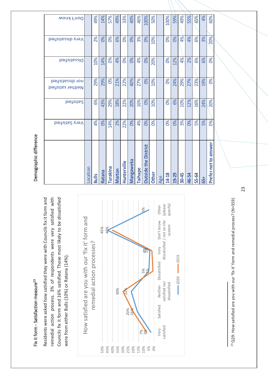# Fix it form - Satisfaction measure<sup>23</sup> Fix it form - Satisfaction measure<sup>23</sup>

remedial action process. 3% of respondents were very satisfied with Residents were asked how satisfied they were with Councils fix it form and Residents were asked how satisfied they were with Councils fix it form and remedial action process. 3% of respondents were very satisfied with Councils fix it form and 16% satisfied. Those most likely to be dissatisfied Councils fix it form and 16% satisfied. Those most likely to be dissatisfied were from either Bulls (10%) or Ratana (14%). were from either Bulls (10%) or Ratana (14%).



<sup>23</sup> Q29: How satisfied are you with our 'fix it' form and remedial process? (N=359)  $^{23}$  Q29: How satisfied are you with our 'fix it' form and remedial process? (N=359)

# Demographic difference Demographic difference

|            | 20%               | 8 <sup>o</sup> | <b>D%</b>                              | 20%       | 8 <sup>o</sup> | Prefer not to answer        |
|------------|-------------------|----------------|----------------------------------------|-----------|----------------|-----------------------------|
| 4%<br>60%  | 3%                | 6%             | 19%                                    | 24%       | 5%             | 65+                         |
|            |                   |                |                                        |           |                |                             |
| 45%        | 6%                | 6%             | 23%                                    | 16%       | 5%             | 55-64                       |
| 55%        | 4%                | 2%             | 27%                                    | 12%       | 0%             | 46-54                       |
| 49%        | 4%                | 4%             | 29%                                    | 10%       | 3%             | $30 - 45$                   |
| 59%        | $\frac{8}{6}$     | 12%            | 24%                                    | 6%        | 0%             | 19-29                       |
| 100%       | $\infty$          | 0%             | 0%                                     | 0%        | 0%             | $14 - 18$                   |
|            |                   |                |                                        |           |                | Age                         |
| 50%        | 10%               | 20%            | 10%                                    | 10%       | 8 <sup>o</sup> | <b>Other</b>                |
| 100%       | 0%                | 0%             | 0%                                     | 0%        | 8 <sup>o</sup> | <b>Outside the District</b> |
| 46%        | 3%                | 4%             | 27%                                    | 16%       | 4%             | <b>Taihape</b>              |
| 40%        | <b>D%</b>         | $\frac{8}{3}$  | 40%                                    | 20%       | 0%             | Mangaweka                   |
| 33%        | 8 <sup>o</sup>    | $\infty$       | 22%                                    | 22%       | 22%            | Hunterville                 |
| 49%        | 6%                | 4%             | 21%                                    | 18%       | 2%             | <b>Marton</b>               |
| 57%        | $\infty$          | 8 <sup>o</sup> | $\infty$                               | 29%       | 14%            | Turakina                    |
| 14%        | 8 <sup>o</sup>    | 14%            | 29%                                    | 43%       | 0%             | Ratana                      |
| 49%        | 2%                | 10%            | 29%                                    | 6%        | 4%             | <b>Bulls</b>                |
|            |                   |                |                                        |           |                | Location                    |
| Don't know | Very dissatisfied | beit zite d    | beit aissatisfied<br>Neither satisfied | beitsited | Very Satisfied |                             |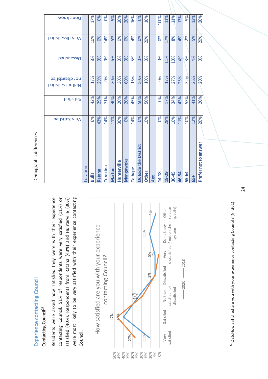# Experience contacting Council Experience contacting Council

### Contacting Council<sup>24</sup> Contacting Council<sup>24</sup>

Residents were asked how satisfied they were with their experience Residents were asked how satisfied they were with their experience contacting Council. 51% of respondents were very satisfied (11%) or contacting Council. 51% of respondents were very satisfied (11%) or satisfied (40%). Respondents from Ratana (43%) and Hunterville (30%) were most likely to be very satisfied with their experience contacting were most likely to be very satisfied with their experience contacting satisfied (40%). Respondents from Ratana (43%) and Hunterville (30%) Council.



<sup>24</sup> Q26:How Satisfied are you with your experience contacting Council? (N=361)  $^{24}$  Q26:How Satisfied are you with your experience contacting Council? (N=361)

# Demographic differences Demographic differences

| 20%        | 20%               | O%             | 20%                                   | 20%       | 20%             | Prefer not to answer        |
|------------|-------------------|----------------|---------------------------------------|-----------|-----------------|-----------------------------|
| 13%        | 5%                | 4%             | 26%                                   | 41%       | 12%             | 65+                         |
| 9%         | 2%                | 3%             | 22%                                   | 53%       | 10%             | 55-64                       |
| 13%        | 4%                | 4%             | 25%                                   | 43%       | 11%             | 46-54                       |
| 11%        | 8%                | 10%            | 27%                                   | 34%       | 10%             | 30-45                       |
| 11%        | 17%               | 11%            | 17%                                   | 17%       | 28%             | 19-29                       |
| 100%       | OS <sub>o</sub>   | $\infty$       | 0%                                    | 0%        | $\infty$        | 14-18                       |
|            |                   |                |                                       |           |                 | Age                         |
| 10%        | 20%               | $\infty$       | 10%                                   | 50%       | 10%             | <b>Other</b>                |
| 0%         | 0%                | O%             | 50%                                   | 50%       | OS <sub>o</sub> | <b>Outside the District</b> |
| 16%        | 4%                | 5%             | 16%                                   | 45%       | 14%             | Taihape                     |
| 20%        | $\frac{8}{3}$     | 0%             | 60%                                   | 20%       | 0%              | <b>Mangaweka</b>            |
| 20%        | O%                | O%             | 30%                                   | 20%       | 30%             | Hunterville                 |
| 9%         | 5%                | 8%             | 30%                                   | 40%       | 11%             | <b>Marton</b>               |
| $\infty$   | 14%               | O%             | 0%                                    | 71%       | 14%             | Turakina                    |
| 68         | $\frac{8}{3}$     | 8 <sup>o</sup> | 29%                                   | 29%       | 43%             | Ratana                      |
| 17%        | 10%               | 8%             | 17%                                   | 42%       | 6%              | <b>Bulls</b>                |
|            |                   |                |                                       |           |                 | Location                    |
| Don't know | Very dissatisfied | beit zited     | nor dissatisfied<br>Neither satisfied | beitzited | Very Satisfied  |                             |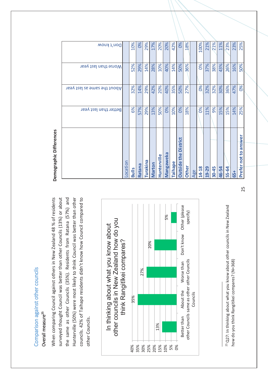#### Co g pariso n against oth er co u ncils

#### Overall measure<sup>25</sup> Overall measure**25**

When comparing Council against others in New Zealand 48 % of residents When comparing Council against others in New Zealand 48 % of residents surveyed thought Council was better than other Councils (13%) or about the same as other Councils (35%). Residents from Ratana (57%) and Hunterville (50%) were most likely to think Council was better than other councils. 42% of Taihape residents didn't know how Council compared to surveyed thought Council was better than other Councils (13%) or about the same as other Councils (35%). Residents from Ratana (57%) and Hunterville (50%) were most likely to think Council was better than other councils. 42% of Taihape residents didn't know how Council compared to other Councils. other Councils.

**Demographic** 

Demographic Differences

**Differences**



<sup>25</sup> Q27: In thinking about what you know about other councils in New Zealand  $^{25}$  Q27: In thinking about what you know about other councils in New Zealand how do you think Rangitikei compares? (N=368) how do you think Rangitikei compares? (N=368)

|                                          | Better than last year | About the same as last year | Worse than last year | Don't know |
|------------------------------------------|-----------------------|-----------------------------|----------------------|------------|
| ocation                                  |                       |                             |                      |            |
| <b>Bulls</b>                             | 6%                    | 32%                         | 52%                  | 10%        |
| Ratana                                   | 57%                   | 14%                         | 29%                  | 0%         |
| <b>Turakina</b>                          | 29%                   | 29%                         | 14%                  | 29%        |
| Marton                                   | 13%                   | 42%                         | 28%                  | 17%        |
| Hunterville                              | 50%                   | 20%                         | 10%                  | 20%        |
| <b>Mangaweka</b>                         | 0%                    | 40%                         | 40%                  | 20%        |
| Taihape                                  | 10%                   | 35%                         | 14%                  | 42%        |
| <b>District</b><br>the<br><b>Outside</b> | 0%                    | 50%                         | 50%                  | 0%         |
| <b>Other</b>                             | 18%                   | 27%                         | 36%                  | 18%        |
| Age                                      |                       |                             |                      |            |
| 14-18                                    | 0%                    | OS <sub>o</sub>             | 0%                   | 100%       |
| 19-29                                    | 11%                   | 32%                         | 37%                  | 21%        |
| $30 - 45$                                | 9%                    | 32%                         | 38%                  | 21%        |
| 46-54                                    | 15%                   | 30%                         | 43%                  | 11%        |
| 55-64                                    | 15%                   | 36%                         | 26%                  | 23%        |
| $-53$                                    | 14%                   | 47%                         | 16%                  | 23%        |
| Prefer not to answer                     | 25%                   | 0%                          | 50%                  | 25%        |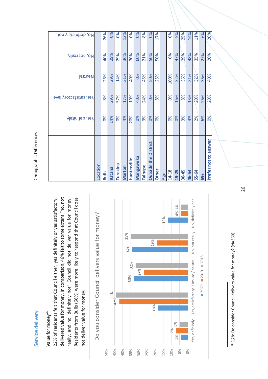#### Service delivery Service delivery

### Value for money<sup>26</sup> Value for money<sup>26</sup>

really, and no, definitely not" Council did not deliver value for money. Residents from Bulls (66%) were more likely to respond that Council does Residents from Bulls (66%) were more likely to respond that Council does 22% of residents felt that Council either, yes definitely or yes satisfactory, delivered value for money. In comparison, 46% felt to some extent "no, not really, and no, definitely not" Council did not deliver value for money. delivered value for money. In comparison, 46% felt to some extent "no, not 22% of residents felt that Council either, yes definitely or yes satisfactory, not deliver value for money. not deliver value for money.



# <sup>26</sup> Q28: Do consider Council delivers value for money? (N=369)  $^{26}$  Q28: Do consider Council delivers value for money? (N=369)

# Demographic Differences Demographic Differences

| No, definietely not     |          | 26%             | O%     | O%       | 12%    | OS <sub>o</sub> | OS               | 8%      | OS <sub>o</sub>             | 17%             |     | O%    | 5%    | 25%   | 14%   | 11%   | 6%  | 20%                  |
|-------------------------|----------|-----------------|--------|----------|--------|-----------------|------------------|---------|-----------------------------|-----------------|-----|-------|-------|-------|-------|-------|-----|----------------------|
| No, not really          |          | 40%             | 29%    | 29%      | 36%    | 30%             | 60%              | 21%     | 50%                         | 50%             |     | O%    | 47%   | 29%   | 48%   | 35%   | 27% | 20%                  |
| Neutral                 |          | 26%             | 29%    | 14%      | 31%    | 40%             | 0%               | 45%     | 50%                         | 25%             |     | 100%  | 32%   | 36%   | 21%   | 32%   | 36% | 40%                  |
| Pes, satisfactory level |          | 8%              | 29%    | 57%      | 17%    | 10%             | 40%              | 24%     | OS <sub>o</sub>             | 8%              |     | O%    | 16%   | 8%    | 13%   | 20%   | 26% | 20%                  |
| Yletinitely             |          | OS <sub>o</sub> | 14%    | O%       | 4%     | 20%             | OS <sub>o</sub>  | 3%      | O%                          | OS <sub>o</sub> |     | O%    | 0%    | 3%    | 4%    | 2%    | 6%  | OS <sub>o</sub>      |
|                         | Location | <b>Bulls</b>    | Ratana | Turakina | Marton | Hunterville     | <b>Mangaweka</b> | Taihape | <b>Outside the District</b> | Other           | Age | 14-18 | 19-29 | 30-45 | 46-54 | 55-64 | 65+ | Prefer not to answer |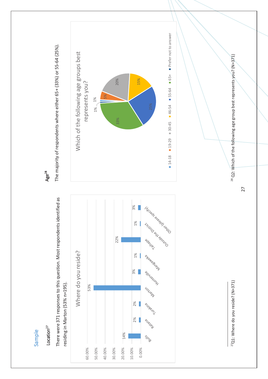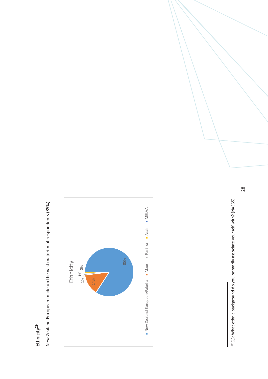# Ethnicity<sup>29</sup>

New Zealand European made up the vast majority of respondents (85%). New Zealand European made up the vast majority of respondents (85%).



<sup>29</sup> Q3: What ethnic background do you primarily associate yourself with? (N=355) 29 Q3: What ethnic background do you primarily associate yourself with? (N=355)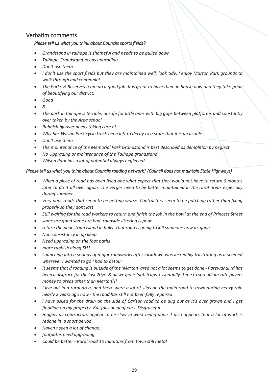#### Verbatim comments

#### *Please tell us what you think about Councils sports fields?*

- *Grandstand in taihape is shameful and needs to be pulled down*
- *Taihape Grandstand needs upgrading.*
- *Don't use them*
- *I don't use the sport fields but they are maintained well, look tidy, I enjoy Marton Park grounds to walk through and centennial.*
- *The Parks & Reserves team do a good job. It is great to have them in house now and they take pride of beautifying our district.*
- *Good*
- *8*
- *The park in taihape is terrible; unsafe for little ones with big gaps between platforms and constantly over taken by the Area school*
- *Rubbish by river needs taking care of*
- *Why has Wilson Park cycle track been left to decay to a state that it is un usable*
- *Don't use them*
- *The maintenance of the Memorial Park Grandstand is best described as demolition by neglect*
- *No Upgrading or maintenance of the Taihape grandstand*
- *Wilson Park has a lot of potential always neglected*

#### *Please tell us what you think about Councils roading network? (Council does not maintain State Highways)*

- *When a piece of road has been fixed one what expect that they would not have to return 6 months later to do it all over again. The verges need to be better maintained in the rural areas especially during summer*
- *Very poor roads that seem to be getting worse. Contractors seem to be patching rather than fixing properly so they dont last*
- *Still waiting for the road workers to return and finish the job in the bowl at the end of Princess Street*
- *some are good some are bad. roadside littering is poor*
- *return the pedestrian island in bulls. That road is going to kill someone now its gone*
- *Non consistancy in up keep*
- *Need upgrading on the foot paths*
- *more rubbish along SH1*
- *Launching into a serious of major roadworks after lockdown was incredibly frustrating as it seemed wherever I wanted to go I had to detour*
- *It seems that if roading is outside of the 'Marton' area not a lot seems to get done - Parewanui rd has been a disgrace for the last 20yrs & all we get is 'patch ups' essentially. Time to spread our rate payers money to areas other than Marton!!!*
- *I live out in a rural area, and there were a lot of slips on the main road to town during heavy rain nearly 2 years ago now - the road has still not been fully repaired*
- *I have asked for the drain on the side of Carlson road to be dug out as it's over grown and I get flooding on my property. But falls on deaf ears. Disgraceful.*
- *Higgins as contractors appear to be slow in work being done it also appears that a lot of work is redone in a short period.*
- *Haven't seen a lot of change.*
- *footpaths need upgrading*
- *Could be better - Rural road 10 minutues from town still metal*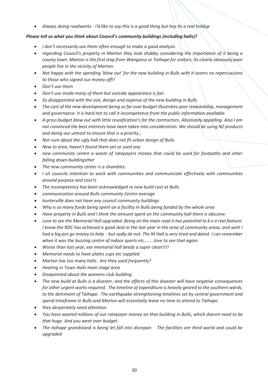*Always doing roadworks - I'd like to say this is a good thing but hey its a real holdup*

#### *Please tell us what you think about Council's community buildings (including halls)?*

- *I don't necessarily use them often enough to make a good analysis*
- *regarding Council's property in Marton they look shabby considering the importance of it being a county town. Marton is the first stop from Wanganui or Taihape for visitors. Its clearly obviously poor people live in the vicinity of Marton.*
- *Not happy with the spending 'blow out' for the new building in Bulls with it seems no repercussions to those who signed our money off!!*
- *Don't use them*
- *Don't use inside many of them but outside appearance is fair.*
- *So disappointed with the size, design and expense of the new building in Bulls*
- *The cost of the new development being so far over budget illustrates poor stewardship, management and governance. It is hard not to call it incompetence from the public information available.*
- *A gross budget blow out with little reunification's for the contractors. Absolutely appalling. Also I am not convinced the best interests have been taken into consideration. We should be using NZ products and doing our utmost to ensure that is a priority.,*
- *Not sure about the ugly hall that does not fit urban design of Bulls.*
- *New to area, haven't found them yet or used any*
- *new community centre a waste of ratepayers money that could be used for footpaths and other falling down buildingsther*
- *The new community center is a shambles.*
- *I sit councils intention to work with communities and communicate effectively with communities around purpose and cost?s*
- *The incompetency has been acknowledged re new build cost at Bulls.*
- *communication around Bulls community Centre average*
- *hunterville does not have any council community buildings*
- *Why is so many funds being spent on a facility in Bulls being funded by the whole area*
- *Have property in Bulls and I think the amount spent on the community hall there is obscene.*
- *Love to see the Memorial Hall upgraded. Being on the main road it has potential to b e a real feature. I know the RDC has achieved a good deal in the last year in the area of community areas, and wish I had a big pot go money to help - but sadly do not. The M Hall is very tired and dated. I can remember when it was the buzzing centre of indoor sports etc........love to see that again.*
- *Worse than last year, ear memorial hall beeds a super clean!!!!*
- *Memorial needs to have plates cups etc supplied*
- *Marton has too many halls. Are they used frequently?*
- *Heating in Town Halls main stage area*
- *Disapointed about the womens club building*
- *The new build at Bulls is a disaster, and the effects of this disaster will have negative consequences for other urgent works required. The timeline of expenditure is heavily geared to the southern wards, to the detriment of Taihape. The earthquake strengthening timelines set by central government and spend timeframe in Bulls and Marton will essentially leave no time to attend to Taihape.*
- *they desperately need attention*
- *You have wasted millions of our ratepayer money on that building in Bulls, which doesnt need to be that huge. And you went over budget.*
- *The taihape grandstand is being let fall into disrepair. The facilities are third world and could be upgraded*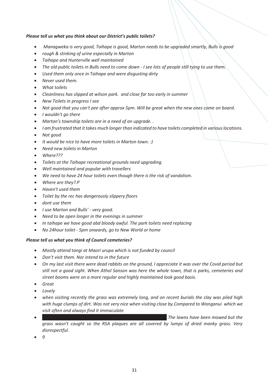#### *Please tell us what you think about our District's public toilets?*

- *Managweka is very good, Taihape is good, Marton needs to be upgraded smartly, Bulls is good*
- *rough & stinking of urine especially in Marton*
- *Taihape and Hunterville well maintained*
- *The old public toilets in Bulls need to come down - I see lots of people still tying to use them.*
- *Used them only once in Taihape and were disgusting dirty*
- *Never used them.*
- *What toilets*
- *Cleanliness has slipped at wilson park. and close far too early in summer*
- *New Toilets in progress I see*
- *Not good that you can't pee after approx 5pm. Will be great when the new ones come on board.*
- *I wouldn't go there*
- *Marton's township toilets are in a need of an upgrade. .*
- *I am frustrated that it takes much longer than indicated to have toilets completed in various locations.*
- *Not good*
- *It would be nice to have more toilets in Marton town. :)*
- *Need new toilets in Marton*
- *Where???*
- *Toilets at the Taihape recreational grounds need upgrading.*
- *Well maintained and popular with travellers*
- *We need to have 24 hour toilets even though there is the risk of vandalism.*
- *Where are they?.P*
- *Haven't used them*
- *Toilet by the rec has dangerously slippery floors*
- *dont use them*
- *I use Marton and Bulls' - very good.*
- *Need to be open longer in the evenings in summer*
- *In taihape we have good abd bloody awful. The park toilets need replacing*
- *No 24hour toilet - 5pm onwards, go to New World or home*

#### *Please tell us what you think of Council cemeteries?*

- *Mostly attend tangi at Maori urupa which is not funded by council*
- *Don't visit them. Nor intend to in the future*
- *On my last visit there were dead rabbits on the ground, I appreciate it was over the Covid period but still not a good sight. When Athol Sanson was here the whole town, that is parks, cemeteries and street booms were on a more regular and highly maintained look good basis.*
- *Great*
- *Lovely*
- *when visiting recently the grass was extremely long, and on recent burials the clay was piled high with huge clumps of dirt. Was not very nice when visiting close by.Compared to Wanganui which we visit often and always find it immaculate*
- *The lawns have been mowed but the grass wasn't caught so the RSA plaques are all covered by lumps of dried manky grass. Very disrespectful.*
- *9*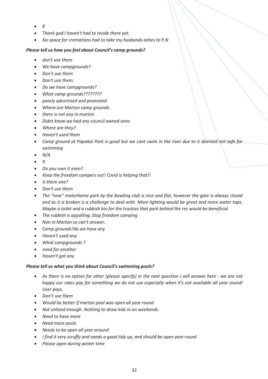- *8*
- *Thank god I haven't had to reside there yet.*
- *No space for cremations had to take my husbands ashes to P.N*

#### *Please tell us how you feel about Council's camp grounds?*

- *don't use them*
- *We have campgrounds?*
- *Don't use them*
- *Don't use them.*
- *Do we have campgrounds?*
- *What camp grounds????????*
- *poorly advertised and promoted*
- *Where are Marton camp grounds*
- *there is not any in marton*
- *Didnt know we had any council owned ones*
- *Where are they?*
- *Haven't used them*
- *Camp ground at Papakai Park is good but we cant swim in the river due to it deemed not safe for swimming*
- *N/A*
- *9*
- *Do you own it even?*
- *Keep the freedom campers out! Covid is helping that!!*
- *Is there one?*
- *Don't use them*
- *The "new" motorhome park by the bowling club is nice and flat, however the gate is always closed and as it is broken is a challenge to deal with. More lighting would be great and more water taps. Maybe a toilet and a rubbish bin for the truckies that park behind the rec would be beneficial*
- *The rubbish is appalling. Stop freedom camping*
- *Non in Marton so can't answer.*
- *Camp grounds?do we have any*
- *Haven't used any*
- *What campgrounds ?*
- *need for another*
- *Haven't got any*

#### *Please tell us what you think about Council's swimming pools?*

- *As there is no option for other (please specify) in the next question I will answer here - we are not happy our rates pay for something we do not use especially when it's not available all year round! User pays.*
- *Don't use them*
- *Would be better if marton pool was open all year round*
- *Not utilized enough. Nothing to draw kids in on weekends.*
- *Need to have more*
- *Need more pools*
- *Needs to be open all year around*
- *I find it very scruffy and needs a good tidy up, and should be open year round*
- *Please open during winter time*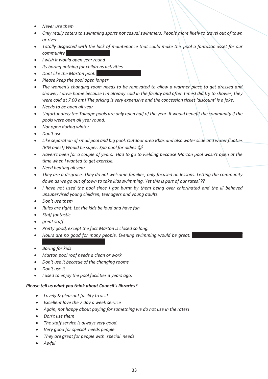- *Never use them*
- *Only really caters to swimming sports not casual swimmers. People more likely to travel out of town or river*
- *Totally disgusted with the lack of maintenance that could make this pool a fantastic asset for our community*
- *I wish it would open year round*
- *Its boring nothing for childrens activities*
- *Dont like the Marton pool.*
- *Please keep the pool open longer*
- *The women's changing room needs to be renovated to allow a warmer place to get dressed and shower, I drive home because I'm already cold in the facility and often timesI did try to shower, they were cold at 7.00 am! The pricing is very expensive and the concession ticket 'discount' is a joke.*
- *Needs to be open all year*
- *Unfortunately the Taihape pools are only open half of the year. It would benefit the community if the pools were open all year round.*
- *Not open during winter*
- *Don't use*
- *Like separation of small pool and big pool. Outdoor area Bbqs and also water slide and water floaties (BIG ones!) Would be super. Spa pool for oldies*
- *Haven't been for a couple of years. Had to go to Fielding because Marton pool wasn't open at the time when I wanted to get exercise.*
- *Need heating all year*
- *They are a disgrace. They do not welcome families, only focused on lessons. Letting the community down as we go out of town to take kids swimming. Yet this is part of our rates???*
- *I have not used the pool since I got burnt by them being over chlorinated and the ill behaved unsupervised young children, teenagers and young adults.*
- *Don't use them*
- *Rules are tight. Let the kids be loud and have fun*
- *Staff fantastic*
- *great staff*
- *Pretty good, except the fact Marton is closed so long.*
- *Hours are no good for many people. Evening swimming would be great.*
- *Boring for kids*
- *Marton pool roof needs a clean or work*
- *Don't use it becasue of the changing rooms*
- *Don't use it*
- *I used to enjoy the pool facilities 3 years ago.*

#### *Please tell us what you think about Council's libraries?*

- *Lovely & pleasant facility to visit*
- *Excellent love the 7 day a week service*
- *Again, not happy about paying for something we do not use in the rates!*
- *Don't use them*
- *The staff service is always very good.*
- *Very good for special needs people*
- *They are great for people with special needs*
- *Awful*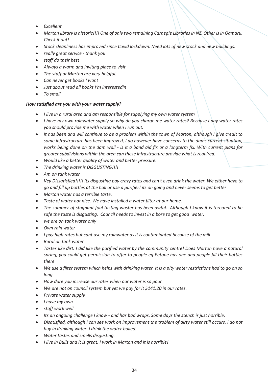- *Excellent*
- *Marton library is historic!!!! One of only two remaining Carnegie Libraries in NZ. Other is in Oamaru. Check it out!*
- *Stock cleanliness has improved since Covid lockdown. Need lots of new stock and new buildings.*
- *really great service - thank you*
- *staff do their best*
- *Always a warm and inviting place to visit*
- *The staff at Marton are very helpful.*
- *Can never get books I want*
- *Just about read all books I'm interestedin*
- *To small*

#### *How satisfied are you with your water supply?*

- *I live in a rural area and am responsible for supplying my own water system*
- *I have my own rainwater supply so why do you charge me water rates? Because I pay water rates you should provide me with water when I run out.*
- *It has been and will continue to be a problem within the town of Marton, although I give credit to some infrastructure has been improved, I do however have concerns to the dams current situation, works being done on the dam wall - is it a band aid fix or a longterm fix. With current plans for greater subdivisions within the area can these infrastructure provide what is required.*
- *Would like a better quality of water and better pressure.*
- *The drinking water is DISGUSTING!!!!*
- *Am on tank water*
- *Vey Dissatisfied!!!!! Its disgusting pay crazy rates and can't even drink the water. We either have to go and fill up bottles at the hall or use a purifier! its on going and never seems to get better*
- *Marton water has a terrible taste.*
- *Taste of water not nice. We have installed a water filter at our home.*
- *The summer of stagnant foul tasting waster has been awful. Although I know it is tereated to be safe the taste is disgusting. Council needs to invest in a bore to get good water.*
- *we are on tank water only*
- *Own rain water*
- *I pay high rates but cant use my rainwater as it is contaminated because of the mill*
- *Rural on tank water*
- *Tastes like dirt. I did like the purified water by the community centre! Does Marton have a natural spring, you could get permission to offer to people eg Petone has one and people fill their bottles there*
- *We use a filter system which helps with drinking water. It is a pity water restrictions had to go on so long.*
- *How dare you increase our rates when our water is so poor*
- *We are not on council system but yet we pay for it \$141.20 in our rates.*
- *Private water supply*
- *I have my own*
- *staff work well*
- *Its an ongoing challenge I know - and has bad wraps. Some days the stench is just horrible.*
- *Disatisfied, although I can see work on improvement the troblem of dirty water still occurs. I do not buy in drinking water. I drink the water boiled.*
- *Water tastes and smells disgusting.*
- *I live in Bulls and it is great, I work in Marton and it is horrible!*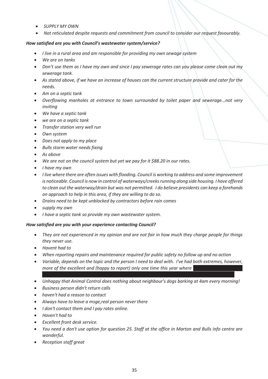- *SUPPLY MY OWN*
- *Not reticulated despite requests and commitment from council to consider our request favourably.*

#### *How satisfied are you with Council's wastewater system/service?*

- *I live in a rural area and am responsible for providing my own sewage system*
- *We are on tanks*
- *Don't use them as I have my own and since I pay sewerage rates can you please come clean out my sewerage tank.*
- *As stated above, if we have an increase of houses can the current structure provide and cater for the needs.*
- *Am on a septic tank*
- *Overflowing manholes at entrance to town surrounded by toilet paper and sewerage...not very inviting*
- *We have a septic tank*
- *we are on a septic tank*
- *Transfer station very well run*
- *Own system*
- *Does not apply to my place*
- *Bulls storm water needs fixing*
- *As above*
- *We are not on the council system but yet we pay for it \$88.20 in our rates.*
- *I have my own*
- *I live where there are often issues with flooding. Council is working to address and some improvement is noticeable. Council is now in control of waterways/creeks running along side housing. I have offered to clean out the waterway/drain but was not permitted. I do believe presidents can keep a forehands on approach to help in this area, if they are willing to do so.*
- *Drains need to be kept unblocked by contractors before rain comes*
- *supply my own*
- *I have a septic tank so provide my own wastewater system.*

#### *How satisfied are you with your experience contacting Council?*

- *They are not experienced in my opinion and are not fair in how much they charge people for things they never use.*
- *Havent had to*
- *When reporting repairs and maintenance required for public safety no follow up and no action*
- *Variable, depends on the topic and the person I need to deal with. I've had both extremes, however, more of the excellent and (happy to report) only one time this year where*
- *Unhappy that Animal Control does nothing about neighbour's dogs barking at 4am every morning!*
- *Business person didn't return calls*
- *haven't had a reason to contact*
- *Always have to leave a msge,real person never there*
- *I don't contact them and I pay rates online.*
- *Haven't had to*
- *Excellent front desk service.*
- *You need a don't use option for question 25. Staff at the office in Marton and Bulls info centre are wonderful.*
- *Reception staff great*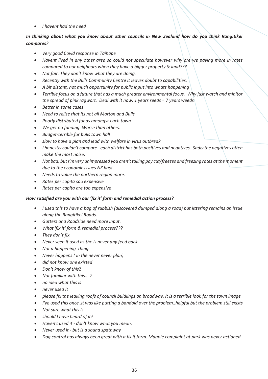*I havent had the need*

#### *In thinking about what you know about other councils in New Zealand how do you think Rangitikei compares?*

- *Very good Covid response in Taihape*
- *Havent lived in any other area so could not speculate however why are we paying more in rates compared to our neighbors when they have a bigger property & land???*
- *Not fair. They don't know what they are doing.*
- *Recently with the Bulls Community Centre it leaves doubt to capabilities.*
- *A bit distant, not much opportunity for public input into whats happening*
- *Terrible focus on a future that has a much greater environmental focus. Why just watch and minitor the spread of pink ragwort. Deal with it now. 1 years seeds = 7 years weeds*
- *Better in some cases*
- *Need to relise that its not all Marton and Bulls*
- *Poorly distributed funds amongst each town*
- *We get no funding. Worse than others.*
- *Budget-terrible for bulls town hall*
- *slow to have a plan and lead with welfare in virus outbreak*
- *I honestly couldn't compare - each district has both positives and negatives. Sadly the negatives often make the most noise.*
- *Not bad, but I'm very unimpressed you aren't taking pay cut/freezes and freezing rates at the moment due to the economic issues NZ has!*
- *Needs to value the northern region more.*
- *Rates per capita soo expensive*
- *Rates per capita are too expensive*

#### *How satisfied are you with our 'fix it' form and remedial action process?*

- *I used this to have a bag of rubbish (discovered dumped along a road) but littering remains an issue along the Rangitikei Roads.*
- *Gutters and Roadside need more input.*
- *What 'fix it' form & remedial process???*
- *They don't fix.*
- *Never seen it used as the is never any feed back*
- *Not a happening thing*
- *Never happens ( in the never never plan)*
- *did not know one existed*
- *Don't know of this*
- *Not familiar with this...*
- *no idea what this is*
- *never used it*
- *please fix the leaking roofs of council buidlings on broadway. it is a terrible look for the town image*
- *I've used this once..it was like putting a bandaid over the problem..helpful but the problem still exists*
- *Not sure what this is*
- *should I have heard of it?*
- *Haven't used it - don't know what you mean.*
- *Never used it - but is a sound spathway*
- *Dog control has always been great with a fix it form. Magpie complaint at park was never actioned*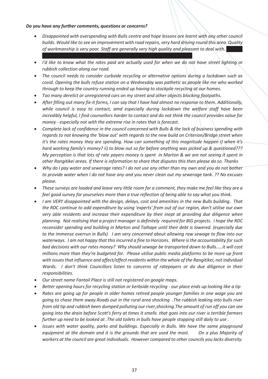#### *Do you have any further comments, questions or concerns?*

- *Disappointed with overspending with Bulls centre and hope lessons are learnt with any other council builds. Would like to see an improvement with road repairs, very hard driving round this area. Quality*  of workmanship is very poor. Staff are generally very high quality and pleasant to deal with.
- *I'd like to know what the rates paid are actually used for when we do not have street lighting or rubbish collection along our road.*
- *The council needs to consider curbside recycling or alternative options during a lockdown such as covid. Opening the bulls refuse station on a Wednesday was pathetic as people like me who worked through to keep the country running ended up having to stockpile recycling at our homes.*
- *Too many derelict or unregistered cars on my street and other objects blocking footpaths.*
- *After filling out many fix-it forms, I can say that I have had almost no response to them. Additionally, while council is easy to contact, amd especially during lockdown the welfare staff have been incredibly helpful, I find counsellors harder to contact and do not think the council provides value for money - especially not with the extreme rise in rates that is forecast.*
- *Complete lack of confidence in the council concerned with Bulls & the lack of business spending with regards to not knowing the 'blow out' with regards to the new build on Criterion/Bridge street when it's the rates money they are spending. How can something of this magnitude happen i) when it's hard working family's money? ii) to blow out so far before anything was picked up & questioned??? My perception is that lots of rate payers money is spent in Marton & we are not seeing it spent in other Rangitikei areas. If there is information to share that disputes this then please do so. Thanks*
- *Why do I pay water and sewerage rates? I do not use any other than my own and you do not bother to provide water when I do not have any and you never clean out my sewerage tank. ?? No excuses please.*
- *These surveys are loaded and leave very little room for a comment, they make me feel like they are a feel good survey for yourselves more than a true reflection of being able to say what you think.*
- *I am VERY disappointed with the design, delays, cost and amenities in the new Bulls building. That the RDC continue to add expenditure by using 'experts' from out of our region, don't utilise our own very able residents and increase their expenditure by their inept at providing due diligence when planning. Not realising that a project manager is definitely required for BIG projects. I hope the RDC reconsider spending and building in Marton and Taihape until their debt is lowered. (especially due to the immense overrun in Bulls) I am very concerned about allowing raw sewage to flow into our waterways. I am not happy that this incurred a fine to Horizons. Where is the accountability for such bad decisions with our rates money? Why should sewage be transported down to Bulls.....it will cost millions more than they're budgeted for. Please utilise public media platforms to be more up front with issues that influence and affect/effect residents within the whole of the Rangitikei, not individual Wards. I don't think Councillors listen to concerns of ratepayers or do due diligence in their responsibilities.*
- *Our street name Fantail Place is still not registered on google maps.*
- *Better opening hours for recycling station or kerbside recycling - our place ends up looking like a tip*
- *Rates are going up for people in older homes retired people younger families in one wage you are going to chase them away.Roads out in the rural area shocking .The rubbish leaking into bulls river from old tip and rubbish been dumped polluting our river,shocking.The amount of run off you can see going into the drain before Scott's ferry at times it smells that goes into our river is terrible farmers further up need to be looked at .The old toilets in bulls have people stopping still daily to use .*
- *Issues with water quality, parks and buildings. Especially in Bulls. We have the same playground equipment at the domain and it is the grounds that are used the most. On a plus Majority of workers at the council are great individuals. However compared to other councils you lacks diversity.*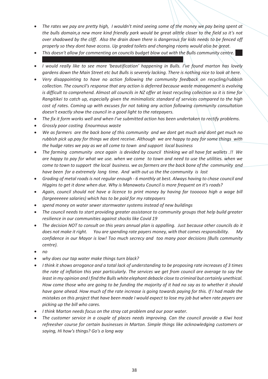- *The rates we pay are pretty high, I wouldn't mind seeing some of the money we pay being spent at the bulls domain,a new more kind friendly park would be great alittle closer to the field so it's not over shadowed by the cliff. Also the drain down there is dangerous for kids needs to be fenced off properly so they dont have access. Up graded toilets and changing rooms would also be great.*
- *This doesn't allow for commenting on councils budget blow out with the Bulls community centre.*
- *I would really like to see more 'beautification' happening in Bulls. I've found marton has lovely gardens down the Main Street etc but Bulls is severely lacking. There is nothing nice to look at here.*
- *Very disappointing to have no action following the community feedback on recycling/rubbish collection. The council's response that any action is deferred because waste management is evolving is difficult to comprehend. Almost all councils in NZ offer at least recycling collection so it is time for Rangitikei to catch up, especially given the minimalistic standard of services compared to the high cost of rates. Coming up with excuses for not taking any action following community consultation doesn't exactly show the council in a good light to the ratepayers.*
- *The fix it form works well and when I've submitted action has been undertaken to rectify problems.*
- *Grossly poor costing Enourmous waste*
- *We as farmers are the back bone of this community and we dont get much and dont get much no rubbish pick up.pay for things we dont receive. Although we are happy to pay for some things with the hudge rates we pay as we all come to town and support local business*
- *The farming community once again is devided by council thinking we all have fat wallets .!! We are happy to pay for what we use. when we come to town and need to use the utilities. when we come to town to support the local business. we as farmers are the back bone of the community and have been for a extremely long time. And with out us the the community is lost*
- *Grading of metal roads is not regular enough - 6 monthly at best. Always having to chase council and Higgins to get it done when due. Why is Manawatu Council is more frequent on it's roads?*
- *Again, council should not have a licence to print money by having far toooooo high a wage bill (largeeeeeee salaries) which has to be paid for my ratepayers*
- *spend money on water sewer stormwater systems instead of new buildings*
- *The council needs to start providing greater assistance to community groups that help build greater resilience in our communities against shocks like Covid 19*
- *The decision NOT to consult on this years annual plan is appalling. Just because other councils do it does not make it right. You are spending rate payers money, with that comes responsibility. My confidence in our Mayor is low! Too much secrecy and too many poor decisions (Bulls community centre).*
- *no*
- *why does our tap water make things turn black?*
- *I think it shows arrogance and a total lack of understanding to be proposing rate increases of 3 times the rate of inflation this year particularly. The services we get from council are average to say the least in my opinion and I find the Bulls white elephant debacle close to criminal but certainly unethical. How come those who are going to be funding the majority of it had no say as to whether it should have gone ahead. How much of the rate increase is going towards paying for this. If I had made the mistakes on this project that have been made I would expect to lose my job but when rate payers are picking up the bill who cares.*
- *I think Marton needs focus on the stray cat problem and our poor water.*
- *The customer service in a couple of places needs improving. Can the council provide a Kiwi host refreesher course for certain businesses in Marton. Simple things like acknowledging customers or saying, Hi how's things? Go's a long way*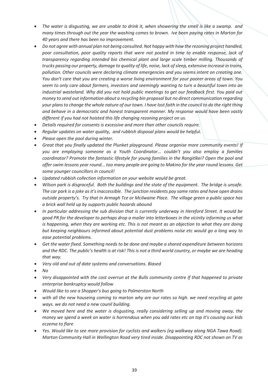- *The water is disgusting, we are unable to drink it, when showering the smell is like a swamp. and many times through out the year the washing comes to brown. Ive been paying rates in Marton for 40 years and there has been no improvement.*
- *Do not agree with annual plan not being consulted. Not happy with how the rezoning project handled, poor consultation, poor quality reports that were not posted in time to enable response, lack of transparency regarding intended bio chemical plant and large scale timber milling. Thousands of trucks passing our property, damage to quality of life, noise, lack of sleep, extensive increase in trains, pollution. Other councils were declaring climate emergencies and you seems intent on creating one. You don't care that you are creating a worse living environment for your poorer areas of town. You seem to only care about farmers, investors and seemingly wanting to turn a beautiful town into an industrial wasteland. Why did you not hold public meetings to get our feedback first. You paid out money to send out information about a recycling bin proposal but no direct communication regarding your plans to change the whole nature of our town. I have lost faith in the council to do the right thing and behave in a democratic and honest transparent manner. My response would have been vastly different if you had not hoisted this life changing rezoning project on us.*
- *Details required for consents is excessive and more than other councils require.*
- *Regular updates on water quality, and rubbish disposal plans would be helpful.*
- *Please open the pool during winter.*
- *Great that you finally updated the Plunket playground. Please organise more community events! If you are employing someone as a Youth Coordinator... couldn't you also employ a families coordinator? Promote the fantastic lifestyle for young families in the Rangitīkei? Open the pool and offer swim lessons year round... too many people are going to Makino for the year round lessons. Get some younger councillors in council!*
- *Updated rubbish collection information on your website would be great.*
- *Wilson park is disgraceful. Both the buildings and the state of the equipment. The bridge is unsafe. The car park is a joke as it's inaccessible. The junction residents pay same rates and have open drains outside property's. Try that in Armagh Tce or Mcilwaine Place. The village green a public space has a brick wall held up by supports public hazards abound*
- *In particular addressing the sub division that is currently underway in Hereford Street. It would be good PR for the developer to perhaps drop a mailer into letterboxes in the vicinity informing us what is happening, when they are working etc. This is not meant as an objection to what they are doing but keeping neighbours informed about potential dust problems noise etc would go a long way to ease potential problems.*
- *Get the water fixed. Something needs to be done and maybe a shared expenditure between horizons and the RDC. The public's health is at risk! This is not a third world country, or maybe we are heading that way.*
- *Very old and out of date systems and conversations. Biased*
- *No*
- *Very disappointed with the cost overrun at the Bulls community centre If that happened to private enterprise bankruptcy would follow*
- *Would like to see a Shopper's bus going to Palmerston North*
- *with all the new houseing coming to marton why are our rates so high. we need recycling at gate ways. we do not need a new counil building.*
- *We moved here and the water is disgusting, really considering selling up and moving away, the money we spend a week on water is horrendous when you add rates etc on top it's causing our kids eczema to flare*
- Yes. Would like to see more provision for cyclists and walkers (eq walkway along NGA Tawa Road). *Marton Community Hall in Wellington Road very tired inside. Disappointing RDC not shown on TV as*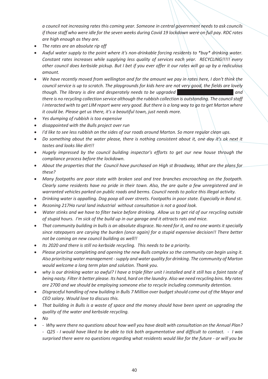*a council not increasing rates this coming year. Someone in central government needs to ask councils if those staff who were idle for the seven weeks during Covid 19 lockdown were on full pay. RDC rates are high enough as they are.*

- *The rates are an absolute rip off*
- *Awful water supply to the point where it's non-drinkable forcing residents to \*buy\* drinking water. Constant rates increases while supplying less quality of services each year. RECYCLING!!!!! every other council does kerbside pickup. But I bet if you ever offer it our rates will go up by a rediculous amount.*
- *We have recently moved from wellington and for the amount we pay in rates here, I don't think the council service is up to scratch. The playgrounds for kids here are not very good, the fields are lovely though. The library is dire and desperately needs to be upgraded there is no recycling collection service although the rubbish collection is outstanding. The council staff I interacted with to get LIM report were very good. But there is a long way to go to get Marton where it could be. Please get us there, it's a beautiful town, just needs more.*
- *Yes dumping of rubbish is too expensive*
- *disappointed with the Bulls project over run*
- *I'd like to see less rubbish on the sides of our roads around Marton. So more regular clean ups.*
- *Do something about the water please, there is nothing consistent about it, one day it's ok next it tastes and looks like dirt!!*
- *Hugely impressed by the council building inspector's efforts to get our new house through the compliance process before the lockdown.*
- *About the properties that the Council have purchased on High st Broadway, What are the plans for these?*
- *Many footpaths are poor state with broken seal and tree branches encroaching on the footpath. Clearly some residents have no pride in their town. Also, the are quite a few unregistered and in warranted vehicles parked on public roads and berms. Council needs to police this illegal activity.*
- *Drinking water is appalling. Dog poop all over streets. Footpaths in poor state. Especially in Bond st.*
- *Rezoning 217Ha rural land industrial without consultation is not a good look.*
- *Water stinks and we have to filter twice before drinking. Allow us to get rid of our recycling outside of stupid hours. I'm sick of the build up in our garage and it attracts rats and mice.*
- *That community building in bulls is an absolute disgrace. No need for it, and no one wants it specially since ratepayers are carying the burden (once again) for a stupid expensive decision!! There better not be coming an new council building as well!!*
- *Its 2020 and there is still no kerbside recycling. This needs to be a priority.*
- *Please prioritse completing and opening the new Bulls complex so the community can begin using it. Also prioritsing water management -supply and water quality for drinking. The community of Marton would welcome a long term plan and solution. Thank you.*
- *why is our drinking water so awful? I have a triple filter unit I installed and it still has a faint taste of being nasty. Filter it better please. Its hard, hard on the laundry. Also we need recycling bins. My rates are 2700 and we should be employing someone else to recycle including community detention.*
- *Disgraceful handling of new building in Bulls 7 Million over budget should come out of the Mayor and CEO salary. Would love to discuss this.*
- *That building in Bulls is a waste of space and the money should have been spent on upgrading the quality of the water and kerbside recycling.*
- *No*
- *Why were there no questions about how well you have dealt with consultation on the Annual Plan? - Q25 - I would have liked to be able to tick both argumentative and difficult to contact. - I was surprised there were no questions regarding what residents would like for the future - or will you be*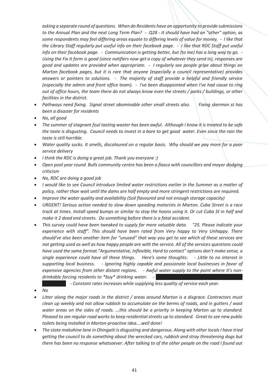*asking a separate round of questions. When do Residents have an opportunity to provide submissions to the Annual Plan and the next Long Term Plan? - Q28 - It should have had an "other" option, as some respondents may feel differing areas equate to differing levels of value for money. - I like that the Library Staff regularly put useful info on their facebook page. - I like that RDC Staff put useful info on their facebook page. - Communication is getting better, but (to me) has a long way to go. - Using the Fix It form is good (since notifiers now get a copy of whatever they send in), responses are good and updates are provided when appropriate. - I regularly see people gripe about things on Marton facebook pages, but it is rare that anyone (especially a council representative) provides answers or pointers to solutions. - The majority of staff provide a helpful and friendly service (especially the admin and front office team). - I've been disappointed when I've had cause to ring out of office hours, the team there do not always know even the streets / parks / buildings, or other facilities in the district.*

- *Pathways need fixing. Signal street abominable other small streets also. Fixing skerman st has been a disaster for residents*
- *No, all good*
- *The summer of stagnant foul tasting waster has been awful. Although I know it is treated to be safe the taste is disgusting. Council needs to invest in a bore to get good water. Even since the rain the taste is still horrible.*
- *Water quality sucks. It smells, discoloured on a regular basis. Why should we pay more for a poor service delivery*
- *I think the RDC is doing a great job. Thank you everyone :)*
- *Open pool year round Bulls community centre has been a fiasco with councillors and mayor dodging criticism*
- *No, RDC are doing a good job*
- *I would like to see Council introduce limited water restrictions earlier in the Summer as a matter of policy, rather than wait until the dams are half empty and more stringent restrictions are required.*
- *Improve the water quality and availability (Soil flavoured and not enough storage capacity)*
- *URGENT! Serious action needed to slow down speeding motorists in Marton. Cuba Street is a race track at times. Install speed bumps or similar to stop the hoons using it. Or cut Cuba St in half and make it 2 dead end streets. Do something before there is a fatal accident.*
- *This survey could have been tweaked to supply far more valuable data. "25. Please indicate your experience with staff". This should have been rated from Very happy to Very Unhappy. There should've also been another item for "unused" that way you get to see which of these services are not getting used as well as how happy people are with the service. All of the services questions could have used the same format."Argumentative, Inflexible, Hard to contact" options don't make sense, a single experience could have all these things. Here's some thoughts: - Little to no interest in supporting local business. - Ignoring highly capable and passionate local businesses in favor of expensive agencies from other distant regions. - Awful water supply to the point where it's nondrinkable forcing residents to \*buy\* drinking water.* -

*very poorly. - Constant rates increases while supplying less quality of service each year.*

- *No*
- *Litter along the major roads in the district / areas around Marton is a disgrace. Contractors must clean up weekly and not allow rubbish to accumulate on the berms of roads, and in gutters / wast water areas on the sides of roads. ...this should be a priority in keeping Marton up to standard. Pleased to see regular road works to keep residential streets up to standard. Great to see new public toilets being installed in Marton-proactive idea....well done!*
- *The state makohine lane in Ohingaiti is disgusting and dangerous. Along with other locals I have tried getting the council to do something about the wrecked cars, rubbish and stray threatening dogs but there has been no response whatsoever. After talking to of the other people on the road I found out*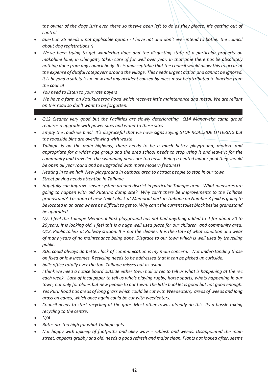*the owner of the dogs isn't even there so theyve been left to do as they please. It's getting out of control*

- *question 25 needs a not applicable option - I have not and don't ever intend to bother the council about dog registrations ;)*
- *We've been trying to get wandering dogs and the disgusting state of a particular property on makohine lane, in Ohingaiti, taken care of for well over year. In that time there has be absolutely nothing done from any council body. Its is unacceptable that the council would allow this to occur at the expense of dutiful ratepayers around the village. This needs urgent action and cannot be ignored. It is beyond a safety issue now and any accident caused by mess must be attributed to inaction from the council*
- *You need to listen to your rate payers*
- *We have a farm on Kotukuraeroa Road which receives little maintenance and metal. We are reliant on this road so don't want to be forgotten.*
- *Q12 Cleaner very good but the Facilities are slowly deteriorating Q14 Manaweka camp groud requires a upgrade with power sites and water to these sites*
- *Empty the roadside bins! It's disgraceful that we have signs saying STOP ROADSIDE LITTERING but the roadside bins are overflowing with waste*
- *Taihape is on the main highway, there needs to be a much better playground, modern and appropriate for a wider age group and the area school needs to stop using it and leave it for the community and traveller. the swimming pools are too basic. Being a heated indoor pool they should be open all year round and be upgraded with more modern features!*
- *Heating in town hall New playground in outback area to attract people to stop in our town*
- *Street paving needs attention in Taihape*
- *Hopefully can improve sewer system around district in particular Taihape area. What measures are going to happen with old Puterino dump site? Why can't there be improvements to the Taihape grandstand? Location of new Toilet block at Memorial park in Taihape on Number 3 feild is going to be located in an area where be difficult to get to. Why can't the current toilet block beside grandstand be upgraded*
- *Q7. I feel the Taihape Memorial Park playground has not had anything added to it for about 20 to 25years. It is looking old. I feel this is a huge well used place for our children and community area. Q12. Public toilets at Railway station. It is not the cleaner. It is the state of what condition and wear of many years of no maintenance being done. Disgrace to our town which is well used by travelling public.*
- *RDC could always do better, lack of communication is my main concern. Not understanding those on fixed or low incomes Recycling needs to be addressed that it can be picked up curbside.*
- *bulls office totally over the top Taihape misses out as usual*
- *I think we need a notice board outside either town hall or rec to tell us what is happening at the rec each week. Lack of local paper to tell us who's playing rugby, horse sports, whats happening in our town, not only for oldies but new people to our town. The little booklet is good but not good enough.*
- *Yes Ruru Road has areas of long grass which could be cut with Weedeaters, areas of weeds and long grass on edges, which once again could be cut with weedeaters.*
- *Council needs to start recycling at the gate. Most other towns already do this. Its a hassle taking recycling to the centre.*
- *N/A*
- *Rates are too high for what Taihape gets.*
- *Not happy with upkeep of footpaths and alley ways - rubbish and weeds. Disappointed the main street, appears grubby and old, needs a good refresh and major clean. Plants not looked after, seems*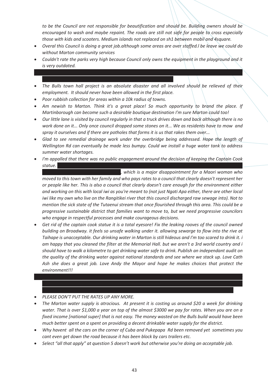*to be the Council are not responsible for beautification and should be. Building owners should be encouraged to wash and maybe repaint. The roads are still not safe for people to cross especially those with kids and scooters. Medium islands not replaced on sh1 between mobil and 4square.*

- *Overal this Council is doing a great job.although some areas are over staffed.l be leave we could do without Marton community services*
- *Couldn't rate the parks very high because Council only owns the equipment in the playground and it is very outdated.*

*Dog ranger is a judgemental, non understanding bully. Very threatening, bring back the likes of fred* 

- *The Bulls town hall project is an absolute disaster and all involved should be relieved of their employment. It should never have been allowed in the first place.*
- *Poor rubbish collection for areas within a 10k radius of towns.*
- *Am newish to Marton. Think it's a great place! So much opportunity to brand the place. If Martinborough can become such a desirable boutique destination I'm sure Marton could too!*
- *Our little lane is visited by council regularly in that a truck drives down and back although there is no work done on it... Only once council dropped some stones on it... We as residents have to mow and spray it ourselves and if there are potholes that forms it is us that rakes them over...*
- *Glad to see remedial drainage work under the overbridge being addressed. Hope the length of Wellington Rd can eventually be made less bumpy. Could we install a huge water tank to address summer water shortages.*
- *I'm appalled that there was no public engagement around the decision of keeping the Captain Cook statue. Clearly this is a council that only listens to a white Colonial perspective and has no respect for*

*equity, diversity or te Tiriti o Waitangi, which is a major disappointment for a Maori woman who moved to this town with her family and who pays rates to a council that clearly doesn't represent her or people like her. This is also a council that clearly doesn't care enough for the environment either and working on this with local iwi as you're meant to (not just Ngati Apa either, there are other local iwi like my own who live on the Rangitikei river that this council discharged raw sewage into). Not to mention the sick state of the Tutaenui stream that once flourished through this area. This could be a progressive sustainable district that families want to move to, but we need progressive councilors who engage in respectful processes and make courageous decisions.*

 *Get rid of the captain cook statue it is a total eyesore! Fix the leaking rooves of the council owned building on Broadway. it feels so unsafe walking under it. allowing sewarge to flow into the rive at Taihape is unacceptable. Our drinking water in Marton is still hideous and I'm too scared to drink it. i am happy that you cleaned the filter at the Memorial Hall. but we aren't a 3rd world country and i should have to walk a kilometre to get drinking water safe to drink. Publish an independant audit on the quality of the drinking water against national standards and see where we stack up. Love Cath Ash she does a great job. Love Andy the Mayor and hope he makes choices that protect the environment!!!*

 *The council staff, mayor, elected councillors and their decisions/activities are often not transparent or publicly accountable to the ratepayers who fund the Rangitikei District Council. Don't just tell us* 

- *PLEASE DON'T PUT THE RATES UP ANY MORE.*
- *The Marton water supply is atrocious. At present it is costing us around \$20 a week for drinking water. That is over \$1,000 a year on top of the almost \$3000 we pay for rates. When you are on a fixed income [national super] that is not easy. The money wasted on the Bulls build would have been much better spent on a spent on providing a decent drinkable water supply for the district.*
- *Why havent all the cars on the corner of Cuba and Pukepapa Rd been removed yet sometimes you cant even get down the road because it has been block by cars trailers etc.*
- *Select "all that apply" at question 5 doesn't work but otherwise you're doing an acceptable job.*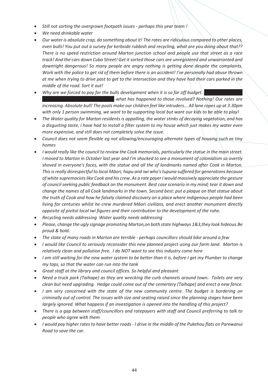- *Still not sorting the overgrown footpath issues - perhaps this year team !*
- *We need drinkable water*
- *Our water is absolute crap, do something about it! The rates are ridiculous compared to other places, even bulls! You put out a survey for kerbside rubbish and recycling, what are you doing about that?? There is no speed restriction around Marton junction school and people use that street as a race track! And the cars down Cuba Street! Get it sorted those cars are unregistered and unwarranted and downright dangerous! So many people are angry nothing is getting done despite the complaints. Work with the police to get rid of them before there is an accident! I've personally had abuse thrown at me when trying to drive past to get to the intersection and they have had their cars parked in the middle of the road. Sort it out!*
- *Why are we forced to pay for the bulls development when it is so far off budget. i* what has happened to those involved? Nothing! Our rates are *increasing. Absolute bull! The pools make our children feel like intruders... All lane ropes up at 3.30pm with only 1 person swimming, we want to be supporting local but want our kids to be able to play!*
- *The Water quality for Marton residents is appalling, the water stinks of decaying vegetation, and has a disgusting taste, i have had to install a filter system to my house which just makes my water even more expensive, and still does not completely solve the issue.*
- *Council does not seem flexible eg not allowing/encouraging alternate types of housing such as tiny homes*
- *I would really like the council to review the Cook memorials, particularly the statue in the main street. I moved to Marton in October last year and I'm shocked to see a monument of colonialism so overtly shoved in everyone's faces, with the statue and all the of landmarks named after Cook in Marton. This is really disrespectful to local Māori, hapu and iwi who's tupuna suffered for generations because of white supremacists like Cook and his crew. As a rate payer I would massively appreciate the gesture of council seeking public feedback on the monument. Best case scenario in my mind; tear it down and change the names of all Cook landmarks in the town. Second best: put a plaque on that statue about the truth of Cook and how he falsely claimed discovery on a place where indigenous people had been living for centuries whilst he crew murdered Māori civilians, and erect another monument directly opposite of pivitol local iwi figures and their contribution to the development of the rohe.*
- *Recycling needs addressing Water quality needs addressing*
- *Please, change the ugly signage promoting Marton,on both state highways 1&3,they look hideous.Be proud & bold.*
- *The state of many roads in Marton are terrible - perhaps councillors should bike around a few*
- *I would like Council to seriously reconsider this new planned project using our farm land. Marton is relatively clean and pollution free. I do NOT want to see this industry come here*
- *I am still waiting for the new water system to be better than it is, before I get my Plumber to change my taps, so that the water can run into the tank*
- *Great staff at the library and council offices. So helpful and pleasant.*
- *Need a truck park (Taihape) as they are wrecking the curb channels around town. Toilets are very clean but need upgrading. Hedge could come out of the cemertery (Taihape) and erect a new fence.*
- *I am very concerned with the state of the new community centre. The budget is bordering on criminally out of control. The issues with size and seating raised since the planning stages have been largely ignored. What happens if an investigation is opened into the handling of this project?*
- *There is a gap between staff/councillors and ratepayers with staff and Council preferring to talk to people who agree with them*
- *I would pay higher rates to have better roads - I drive in the middle of the Pukehou flats on Parewanui Road to save the car.*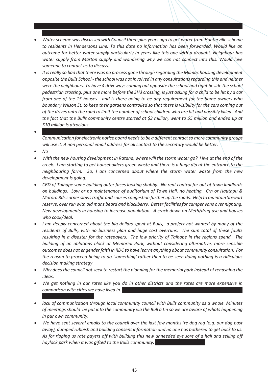*Water scheme was discussed with Council three plus years ago to get water from Hunterville scheme to residents in Hendersons Line. To this date no information has been forwarded. Would like an outcome for better water supply particularly in years like this one with a drought. Neighbour has water supply from Marton supply and wondering why we can not connect into this. Would love someone to contact us to discuss.*

*There seem to be divisions between people /community/staff/Councillors rather than strong working* 

- *It is really so bad that there was no process gone through regarding the Milmac housing development opposite the Bulls School - the school was not involved in any consultations regarding this and neither were the neighbours. To have 4 driveways coming out opposite the school and right beside the school pedestrian crossing, plus one more before the SH3 crossing, is just asking for a child to be hit by a car from one of the 15 houses - and is there going to be any requirement for the home owners who boundary Wilson St, to keep their gardens controlled so that there is visibility for the cars coming out of the drives onto the road to limit the number of school children who are hit and possibly killed. And the fact that the Bulls community centre started at \$3 million, went to \$5 million and ended up at \$10 million is atrocious.*
- *My concern has been with chairperson of community committee. Unsure if still same Carolyn bates. Communication for electronic notice board needs to be a different contact so more community groups will use it. A non personal email address for all contact to the secretary would be better.*
- *No*
- *With the new housing development in Ratana, where will the storm water go? I live at the end of the creek. I am starting to get householders green waste and there is a huge dip at the entrance to the neighbouring farm. So, I am concerned about where the storm water waste from the new development is going.*
- *CBD of Taihape some building outer faces looking shabby. No rent control for out of town landlords on buildings. Low or no maintenance of auditorium of Town Hall, no heating. Crn or Hautapu & Matora Rds corner slows traffic and causes congestion further up the roads. Help to maintain Stewart reserve, over run with old mans beard and blackberry. Better facilities for camper vans over nighting. New developments in housing to increase population. A crack down on Meth/drug use and houses who cook/deal.*
- *I am deeply concerned about the big dollars spent at Bulls, a project not wanted by many of the residents of Bulls, with no business plan and huge cost overruns. The sum total of these faults resulting in a disaster for the ratepayers. The low priority of Taihape in the regions spend. The building of an ablutions block at Memorial Park, without considering alternative, more sensible outcomes does not engender faith in RDC to have learnt anything about community consultation. For the reason to proceed being to do 'something' rather then to be seen doing nothing is a ridiculous decision making strategy*
- *Why does the council not seek to restart the planning for the memorial park instead of rehashing the ideas.*
- *We get nothing in our rates like you do in other districts and the rates are more expensive in comparison with cities we have lived in. Rangitīkei is a big rip off council. The mayor only turns up to*
- *lack of communication through local community council with Bulls community as a whole. Minutes of meetings should be put into the community via the Bull a tin so we are aware of whats happening in pur own community,*
- *We have sent several emails to the council over the last few months 're dog reg (e.g. our dog past away), dumped rubbish and building consent information and no one has bothered to get back to us. As for ripping us rate payers off with building this new unneeded eye sore of a hall and selling off haylock park when it was gifted to the Bulls community,*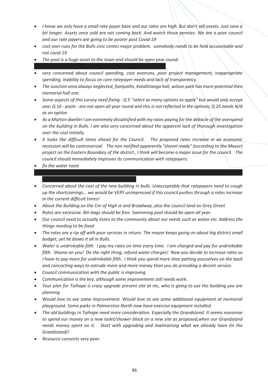- *I know we only have a small rate payer base and our rates are high. But don't sell assets. Just save a*  bit longer. Assets once sold are not coming back. And watch those pennies. We are a poor council *and our rate payers are going to be poorer post Covid-19*
- *cost over runs for the Bulls civic center.major problem. somebody needs to be held accountable and not covid 19*
- *The pool is a huge asset to the town and should be open year round.*
- *very concerned about council spending, cost overruns, poor project management, inappropriate spending, inability to focus on core ratepayer needs and lack of transparency.*
- *The Junction area always neglected, footpaths, Kotahitanga hall, wilson park has more potential then memorial hall one.*
- *Some aspects of this survey need fixing - Q 5 "select as many options as apply" but would only accept one; Q 16 - pools - are not open all year round and this is not reflected in the options; Q 25 needs N/A as an option*
- *As a Marton dweller I am extremely dissatisfied with my rates paying for the debacle of the overspend on the building in Bulls. I am also very concerned about the apparent lack of thorough investigation over the cost initially.*
- *It looks like difficult times ahead for the Council. The proposed rates increase in an economic recession will be controversial. The non notified apparently "shovel ready" (according to the Mayor) project on the Eastern Boundary of the district , I think will become a major issue for the council. The council should immediately improves its communication with ratepayers.*
- *fix the water taste*
- *Concerned about the cost of the new building in bulls. Unacceptable that ratepayers need to cough up the shortcomings... we would be VERY unimpressed if this council pushes through a rates increase in the current difficult times!*

*The councils reputation reference building consents is abysmal. The stress that you have put the* 

- *About the Building on the Cnr of High st and Broadway ,also the council land on Grey Street*
- *Rates are excessive. Bin bags should be free. Swimming pool should be open all year.*
- *Our council need to actually listen to the community about our needs such as water etc. Address the things needing to be fixed*
- *The rates are a rip off with poor services in return. The mayor keeps going on about big district small budget, yet he blows it all in Bulls.*
- *Water is undrinkable filth. I pay my rates on time every time. I am charged and pay for undrinkable filth. Shame on you! Do the right thing, refund water charges! Now you decide to increase rates so I have to pay more for undrinkable filth. I think you spend more time patting yourselves on the back and concocting ways to extrude more and more money than you do providing a decent service.*
- *Council communication with the public is improving*
- *Communication is the key, although some improvement still needs work.*
- *Your plan for Taihape is crazy upgrade present site at rec, who is going to use the building you are planning*
- *Would love to see some improvement. Would love to see some additional equipment at memorial playground. Some parks in Palmerston North now have exercise equipment installed.*
- *The old buildings in Taihape need more consideration. Especially the Grandstand. It seems nonsense to spend our money on a new toilet/shower block on a new site as proposed,when our Grandstand needs money spent on it. Start with upgrading and maintaining what we already have (in the Grandstand)!*
- *Resource consents very poor.*